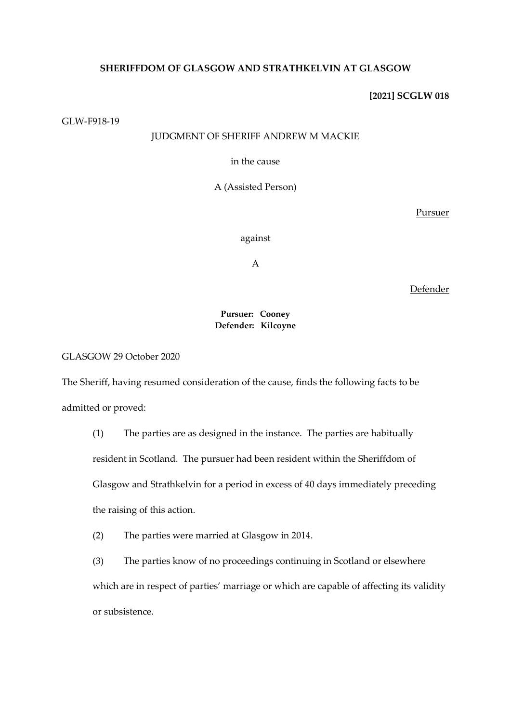# **SHERIFFDOM OF GLASGOW AND STRATHKELVIN AT GLASGOW**

## **[2021] SCGLW 018**

GLW-F918-19

# JUDGMENT OF SHERIFF ANDREW M MACKIE

in the cause

A (Assisted Person)

Pursuer

against

A

Defender

## **Pursuer: Cooney Defender: Kilcoyne**

GLASGOW 29 October 2020

The Sheriff, having resumed consideration of the cause, finds the following facts to be admitted or proved:

(1) The parties are as designed in the instance. The parties are habitually resident in Scotland. The pursuer had been resident within the Sheriffdom of Glasgow and Strathkelvin for a period in excess of 40 days immediately preceding the raising of this action.

(2) The parties were married at Glasgow in 2014.

(3) The parties know of no proceedings continuing in Scotland or elsewhere which are in respect of parties' marriage or which are capable of affecting its validity or subsistence.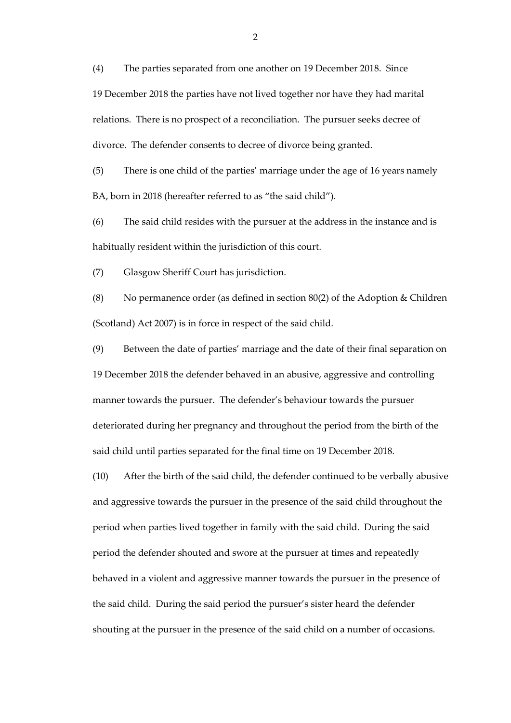(4) The parties separated from one another on 19 December 2018. Since 19 December 2018 the parties have not lived together nor have they had marital relations. There is no prospect of a reconciliation. The pursuer seeks decree of divorce. The defender consents to decree of divorce being granted.

(5) There is one child of the parties' marriage under the age of 16 years namely BA, born in 2018 (hereafter referred to as "the said child").

(6) The said child resides with the pursuer at the address in the instance and is habitually resident within the jurisdiction of this court.

(7) Glasgow Sheriff Court has jurisdiction.

(8) No permanence order (as defined in section 80(2) of the Adoption & Children (Scotland) Act 2007) is in force in respect of the said child.

(9) Between the date of parties' marriage and the date of their final separation on 19 December 2018 the defender behaved in an abusive, aggressive and controlling manner towards the pursuer. The defender's behaviour towards the pursuer deteriorated during her pregnancy and throughout the period from the birth of the said child until parties separated for the final time on 19 December 2018.

(10) After the birth of the said child, the defender continued to be verbally abusive and aggressive towards the pursuer in the presence of the said child throughout the period when parties lived together in family with the said child. During the said period the defender shouted and swore at the pursuer at times and repeatedly behaved in a violent and aggressive manner towards the pursuer in the presence of the said child. During the said period the pursuer's sister heard the defender shouting at the pursuer in the presence of the said child on a number of occasions.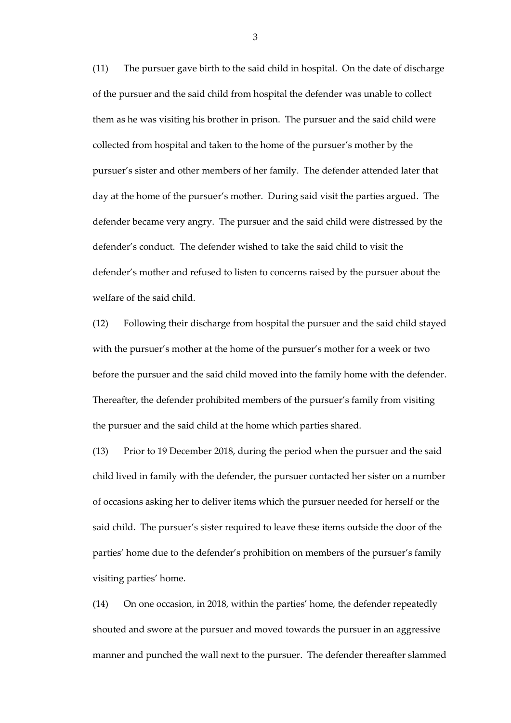(11) The pursuer gave birth to the said child in hospital. On the date of discharge of the pursuer and the said child from hospital the defender was unable to collect them as he was visiting his brother in prison. The pursuer and the said child were collected from hospital and taken to the home of the pursuer's mother by the pursuer's sister and other members of her family. The defender attended later that day at the home of the pursuer's mother. During said visit the parties argued. The defender became very angry. The pursuer and the said child were distressed by the defender's conduct. The defender wished to take the said child to visit the defender's mother and refused to listen to concerns raised by the pursuer about the welfare of the said child.

(12) Following their discharge from hospital the pursuer and the said child stayed with the pursuer's mother at the home of the pursuer's mother for a week or two before the pursuer and the said child moved into the family home with the defender. Thereafter, the defender prohibited members of the pursuer's family from visiting the pursuer and the said child at the home which parties shared.

(13) Prior to 19 December 2018, during the period when the pursuer and the said child lived in family with the defender, the pursuer contacted her sister on a number of occasions asking her to deliver items which the pursuer needed for herself or the said child. The pursuer's sister required to leave these items outside the door of the parties' home due to the defender's prohibition on members of the pursuer's family visiting parties' home.

(14) On one occasion, in 2018, within the parties' home, the defender repeatedly shouted and swore at the pursuer and moved towards the pursuer in an aggressive manner and punched the wall next to the pursuer. The defender thereafter slammed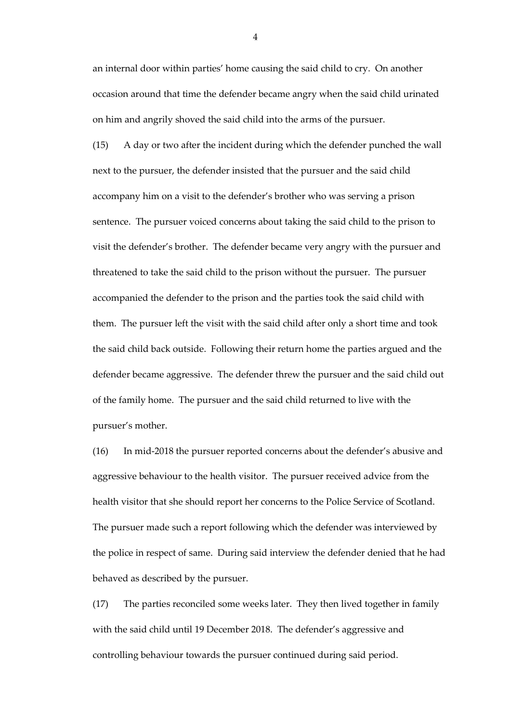an internal door within parties' home causing the said child to cry. On another occasion around that time the defender became angry when the said child urinated on him and angrily shoved the said child into the arms of the pursuer.

(15) A day or two after the incident during which the defender punched the wall next to the pursuer, the defender insisted that the pursuer and the said child accompany him on a visit to the defender's brother who was serving a prison sentence. The pursuer voiced concerns about taking the said child to the prison to visit the defender's brother. The defender became very angry with the pursuer and threatened to take the said child to the prison without the pursuer. The pursuer accompanied the defender to the prison and the parties took the said child with them. The pursuer left the visit with the said child after only a short time and took the said child back outside. Following their return home the parties argued and the defender became aggressive. The defender threw the pursuer and the said child out of the family home. The pursuer and the said child returned to live with the pursuer's mother.

(16) In mid-2018 the pursuer reported concerns about the defender's abusive and aggressive behaviour to the health visitor. The pursuer received advice from the health visitor that she should report her concerns to the Police Service of Scotland. The pursuer made such a report following which the defender was interviewed by the police in respect of same. During said interview the defender denied that he had behaved as described by the pursuer.

(17) The parties reconciled some weeks later. They then lived together in family with the said child until 19 December 2018. The defender's aggressive and controlling behaviour towards the pursuer continued during said period.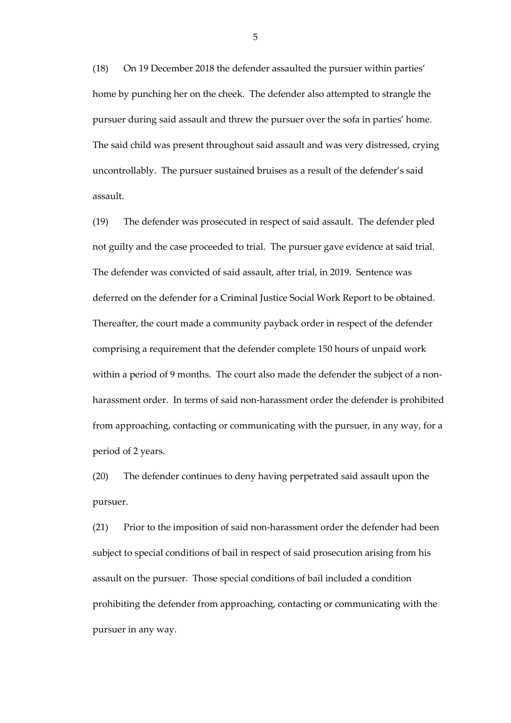(18) On 19 December 2018 the defender assaulted the pursuer within parties' home by punching her on the cheek. The defender also attempted to strangle the pursuer during said assault and threw the pursuer over the sofa in parties' home. The said child was present throughout said assault and was very distressed, crying uncontrollably. The pursuer sustained bruises as a result of the defender's said assault.

(19) The defender was prosecuted in respect of said assault. The defender pled not guilty and the case proceeded to trial. The pursuer gave evidence at said trial. The defender was convicted of said assault, after trial, in 2019. Sentence was deferred on the defender for a Criminal Justice Social Work Report to be obtained. Thereafter, the court made a community payback order in respect of the defender comprising a requirement that the defender complete 150 hours of unpaid work within a period of 9 months. The court also made the defender the subject of a nonharassment order. In terms of said non-harassment order the defender is prohibited from approaching, contacting or communicating with the pursuer, in any way, for a period of 2 years.

(20) The defender continues to deny having perpetrated said assault upon the pursuer.

(21) Prior to the imposition of said non-harassment order the defender had been subject to special conditions of bail in respect of said prosecution arising from his assault on the pursuer. Those special conditions of bail included a condition prohibiting the defender from approaching, contacting or communicating with the pursuer in any way.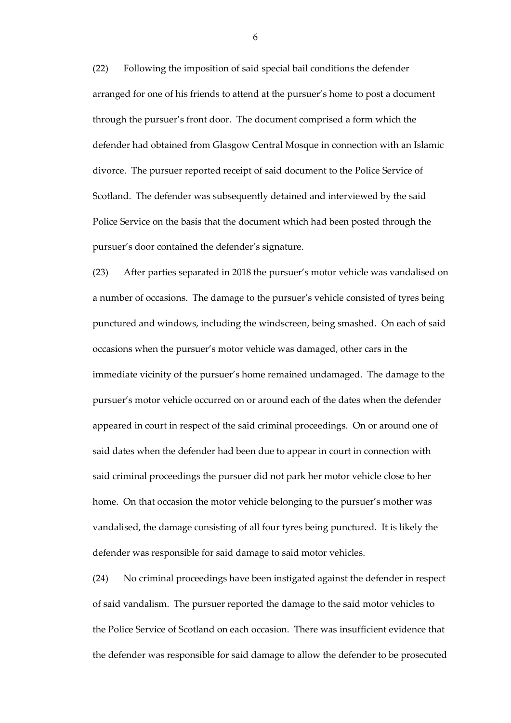(22) Following the imposition of said special bail conditions the defender arranged for one of his friends to attend at the pursuer's home to post a document through the pursuer's front door. The document comprised a form which the defender had obtained from Glasgow Central Mosque in connection with an Islamic divorce. The pursuer reported receipt of said document to the Police Service of Scotland. The defender was subsequently detained and interviewed by the said Police Service on the basis that the document which had been posted through the pursuer's door contained the defender's signature.

(23) After parties separated in 2018 the pursuer's motor vehicle was vandalised on a number of occasions. The damage to the pursuer's vehicle consisted of tyres being punctured and windows, including the windscreen, being smashed. On each of said occasions when the pursuer's motor vehicle was damaged, other cars in the immediate vicinity of the pursuer's home remained undamaged. The damage to the pursuer's motor vehicle occurred on or around each of the dates when the defender appeared in court in respect of the said criminal proceedings. On or around one of said dates when the defender had been due to appear in court in connection with said criminal proceedings the pursuer did not park her motor vehicle close to her home. On that occasion the motor vehicle belonging to the pursuer's mother was vandalised, the damage consisting of all four tyres being punctured. It is likely the defender was responsible for said damage to said motor vehicles.

(24) No criminal proceedings have been instigated against the defender in respect of said vandalism. The pursuer reported the damage to the said motor vehicles to the Police Service of Scotland on each occasion. There was insufficient evidence that the defender was responsible for said damage to allow the defender to be prosecuted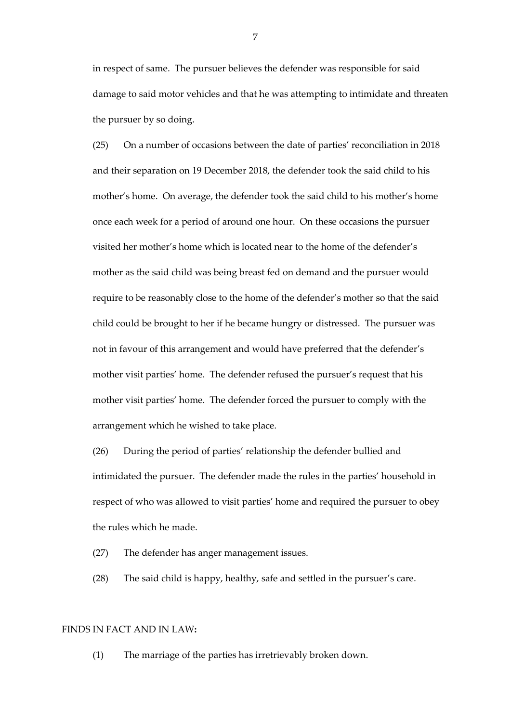in respect of same. The pursuer believes the defender was responsible for said damage to said motor vehicles and that he was attempting to intimidate and threaten the pursuer by so doing.

(25) On a number of occasions between the date of parties' reconciliation in 2018 and their separation on 19 December 2018, the defender took the said child to his mother's home. On average, the defender took the said child to his mother's home once each week for a period of around one hour. On these occasions the pursuer visited her mother's home which is located near to the home of the defender's mother as the said child was being breast fed on demand and the pursuer would require to be reasonably close to the home of the defender's mother so that the said child could be brought to her if he became hungry or distressed. The pursuer was not in favour of this arrangement and would have preferred that the defender's mother visit parties' home. The defender refused the pursuer's request that his mother visit parties' home. The defender forced the pursuer to comply with the arrangement which he wished to take place.

(26) During the period of parties' relationship the defender bullied and intimidated the pursuer. The defender made the rules in the parties' household in respect of who was allowed to visit parties' home and required the pursuer to obey the rules which he made.

(27) The defender has anger management issues.

(28) The said child is happy, healthy, safe and settled in the pursuer's care.

### FINDS IN FACT AND IN LAW**:**

(1) The marriage of the parties has irretrievably broken down.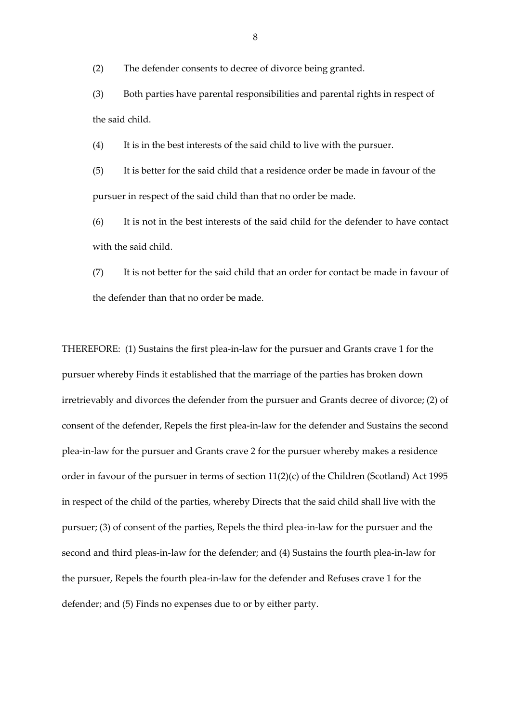(2) The defender consents to decree of divorce being granted.

(3) Both parties have parental responsibilities and parental rights in respect of the said child.

(4) It is in the best interests of the said child to live with the pursuer.

(5) It is better for the said child that a residence order be made in favour of the pursuer in respect of the said child than that no order be made.

(6) It is not in the best interests of the said child for the defender to have contact with the said child.

(7) It is not better for the said child that an order for contact be made in favour of the defender than that no order be made.

THEREFORE: (1) Sustains the first plea-in-law for the pursuer and Grants crave 1 for the pursuer whereby Finds it established that the marriage of the parties has broken down irretrievably and divorces the defender from the pursuer and Grants decree of divorce; (2) of consent of the defender, Repels the first plea-in-law for the defender and Sustains the second plea-in-law for the pursuer and Grants crave 2 for the pursuer whereby makes a residence order in favour of the pursuer in terms of section 11(2)(c) of the Children (Scotland) Act 1995 in respect of the child of the parties, whereby Directs that the said child shall live with the pursuer; (3) of consent of the parties, Repels the third plea-in-law for the pursuer and the second and third pleas-in-law for the defender; and (4) Sustains the fourth plea-in-law for the pursuer, Repels the fourth plea-in-law for the defender and Refuses crave 1 for the defender; and (5) Finds no expenses due to or by either party.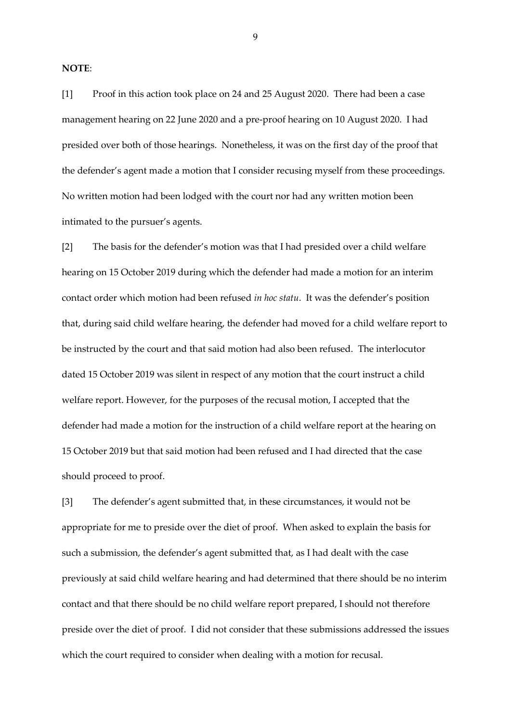**NOTE**:

[1] Proof in this action took place on 24 and 25 August 2020. There had been a case management hearing on 22 June 2020 and a pre-proof hearing on 10 August 2020. I had presided over both of those hearings. Nonetheless, it was on the first day of the proof that the defender's agent made a motion that I consider recusing myself from these proceedings. No written motion had been lodged with the court nor had any written motion been intimated to the pursuer's agents.

[2] The basis for the defender's motion was that I had presided over a child welfare hearing on 15 October 2019 during which the defender had made a motion for an interim contact order which motion had been refused *in hoc statu*. It was the defender's position that, during said child welfare hearing, the defender had moved for a child welfare report to be instructed by the court and that said motion had also been refused. The interlocutor dated 15 October 2019 was silent in respect of any motion that the court instruct a child welfare report. However, for the purposes of the recusal motion, I accepted that the defender had made a motion for the instruction of a child welfare report at the hearing on 15 October 2019 but that said motion had been refused and I had directed that the case should proceed to proof.

[3] The defender's agent submitted that, in these circumstances, it would not be appropriate for me to preside over the diet of proof. When asked to explain the basis for such a submission, the defender's agent submitted that, as I had dealt with the case previously at said child welfare hearing and had determined that there should be no interim contact and that there should be no child welfare report prepared, I should not therefore preside over the diet of proof. I did not consider that these submissions addressed the issues which the court required to consider when dealing with a motion for recusal.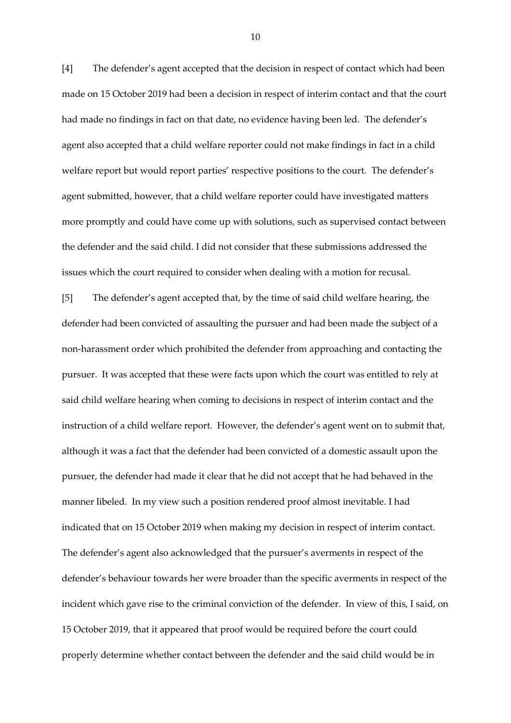[4] The defender's agent accepted that the decision in respect of contact which had been made on 15 October 2019 had been a decision in respect of interim contact and that the court had made no findings in fact on that date, no evidence having been led. The defender's agent also accepted that a child welfare reporter could not make findings in fact in a child welfare report but would report parties' respective positions to the court. The defender's agent submitted, however, that a child welfare reporter could have investigated matters more promptly and could have come up with solutions, such as supervised contact between the defender and the said child. I did not consider that these submissions addressed the issues which the court required to consider when dealing with a motion for recusal.

[5] The defender's agent accepted that, by the time of said child welfare hearing, the defender had been convicted of assaulting the pursuer and had been made the subject of a non-harassment order which prohibited the defender from approaching and contacting the pursuer. It was accepted that these were facts upon which the court was entitled to rely at said child welfare hearing when coming to decisions in respect of interim contact and the instruction of a child welfare report. However, the defender's agent went on to submit that, although it was a fact that the defender had been convicted of a domestic assault upon the pursuer, the defender had made it clear that he did not accept that he had behaved in the manner libeled. In my view such a position rendered proof almost inevitable. I had indicated that on 15 October 2019 when making my decision in respect of interim contact. The defender's agent also acknowledged that the pursuer's averments in respect of the defender's behaviour towards her were broader than the specific averments in respect of the incident which gave rise to the criminal conviction of the defender. In view of this, I said, on 15 October 2019, that it appeared that proof would be required before the court could properly determine whether contact between the defender and the said child would be in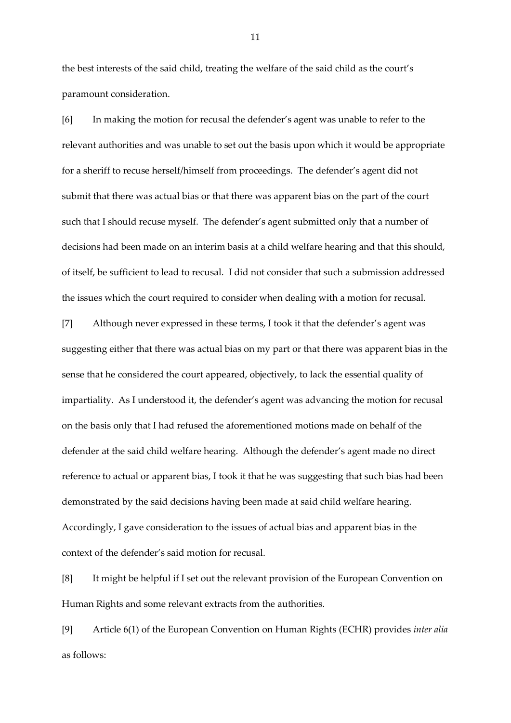the best interests of the said child, treating the welfare of the said child as the court's paramount consideration.

[6] In making the motion for recusal the defender's agent was unable to refer to the relevant authorities and was unable to set out the basis upon which it would be appropriate for a sheriff to recuse herself/himself from proceedings. The defender's agent did not submit that there was actual bias or that there was apparent bias on the part of the court such that I should recuse myself. The defender's agent submitted only that a number of decisions had been made on an interim basis at a child welfare hearing and that this should, of itself, be sufficient to lead to recusal. I did not consider that such a submission addressed the issues which the court required to consider when dealing with a motion for recusal.

[7] Although never expressed in these terms, I took it that the defender's agent was suggesting either that there was actual bias on my part or that there was apparent bias in the sense that he considered the court appeared, objectively, to lack the essential quality of impartiality. As I understood it, the defender's agent was advancing the motion for recusal on the basis only that I had refused the aforementioned motions made on behalf of the defender at the said child welfare hearing. Although the defender's agent made no direct reference to actual or apparent bias, I took it that he was suggesting that such bias had been demonstrated by the said decisions having been made at said child welfare hearing. Accordingly, I gave consideration to the issues of actual bias and apparent bias in the context of the defender's said motion for recusal.

[8] It might be helpful if I set out the relevant provision of the European Convention on Human Rights and some relevant extracts from the authorities.

[9] Article 6(1) of the European Convention on Human Rights (ECHR) provides *inter alia* as follows: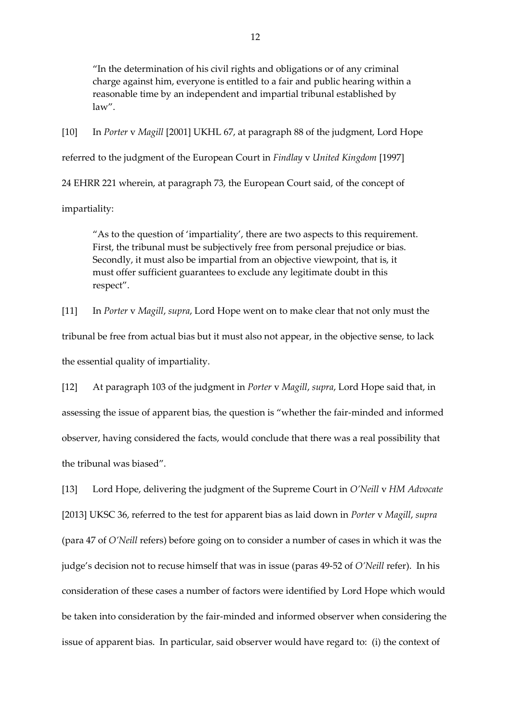"In the determination of his civil rights and obligations or of any criminal charge against him, everyone is entitled to a fair and public hearing within a reasonable time by an independent and impartial tribunal established by law".

[10] In *Porter* v *Magill* [2001] UKHL 67, at paragraph 88 of the judgment, Lord Hope referred to the judgment of the European Court in *Findlay* v *United Kingdom* [1997] 24 EHRR 221 wherein, at paragraph 73, the European Court said, of the concept of

impartiality:

"As to the question of 'impartiality', there are two aspects to this requirement. First, the tribunal must be subjectively free from personal prejudice or bias. Secondly, it must also be impartial from an objective viewpoint, that is, it must offer sufficient guarantees to exclude any legitimate doubt in this respect".

[11] In *Porter* v *Magill*, *supra*, Lord Hope went on to make clear that not only must the tribunal be free from actual bias but it must also not appear, in the objective sense, to lack the essential quality of impartiality.

[12] At paragraph 103 of the judgment in *Porter* v *Magill*, *supra*, Lord Hope said that, in assessing the issue of apparent bias, the question is "whether the fair-minded and informed observer, having considered the facts, would conclude that there was a real possibility that the tribunal was biased".

[13] Lord Hope, delivering the judgment of the Supreme Court in *O'Neill* v *HM Advocate* [2013] UKSC 36, referred to the test for apparent bias as laid down in *Porter* v *Magill*, *supra*  (para 47 of *O'Neill* refers) before going on to consider a number of cases in which it was the judge's decision not to recuse himself that was in issue (paras 49-52 of *O'Neill* refer). In his consideration of these cases a number of factors were identified by Lord Hope which would be taken into consideration by the fair-minded and informed observer when considering the issue of apparent bias. In particular, said observer would have regard to: (i) the context of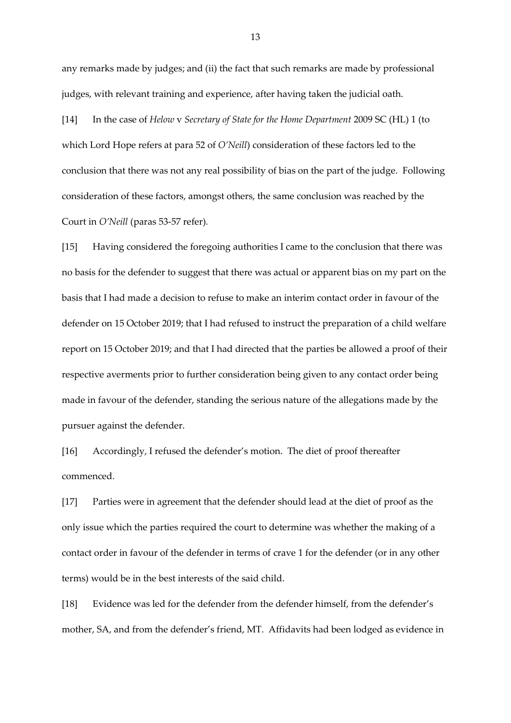any remarks made by judges; and (ii) the fact that such remarks are made by professional judges, with relevant training and experience, after having taken the judicial oath.

[14] In the case of *Helow* v *Secretary of State for the Home Department* 2009 SC (HL) 1 (to which Lord Hope refers at para 52 of *O'Neill*) consideration of these factors led to the conclusion that there was not any real possibility of bias on the part of the judge. Following consideration of these factors, amongst others, the same conclusion was reached by the Court in *O'Neill* (paras 53-57 refer)*.*

[15] Having considered the foregoing authorities I came to the conclusion that there was no basis for the defender to suggest that there was actual or apparent bias on my part on the basis that I had made a decision to refuse to make an interim contact order in favour of the defender on 15 October 2019; that I had refused to instruct the preparation of a child welfare report on 15 October 2019; and that I had directed that the parties be allowed a proof of their respective averments prior to further consideration being given to any contact order being made in favour of the defender, standing the serious nature of the allegations made by the pursuer against the defender.

[16] Accordingly, I refused the defender's motion. The diet of proof thereafter commenced.

[17] Parties were in agreement that the defender should lead at the diet of proof as the only issue which the parties required the court to determine was whether the making of a contact order in favour of the defender in terms of crave 1 for the defender (or in any other terms) would be in the best interests of the said child.

[18] Evidence was led for the defender from the defender himself, from the defender's mother, SA, and from the defender's friend, MT. Affidavits had been lodged as evidence in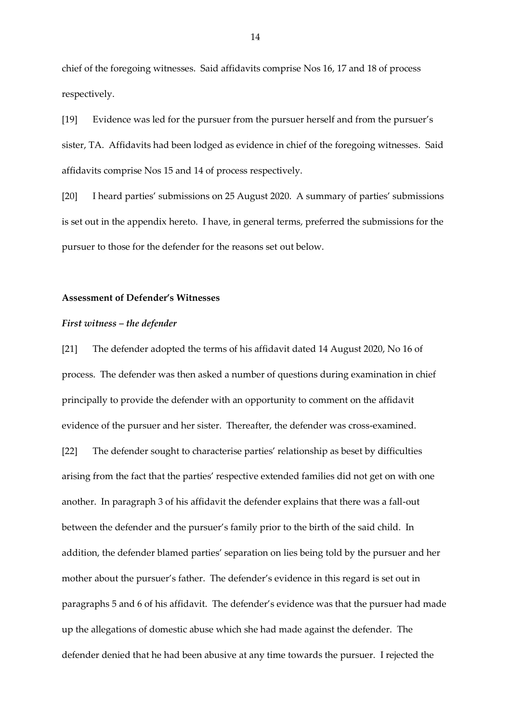chief of the foregoing witnesses. Said affidavits comprise Nos 16, 17 and 18 of process respectively.

[19] Evidence was led for the pursuer from the pursuer herself and from the pursuer's sister, TA. Affidavits had been lodged as evidence in chief of the foregoing witnesses. Said affidavits comprise Nos 15 and 14 of process respectively.

[20] I heard parties' submissions on 25 August 2020. A summary of parties' submissions is set out in the appendix hereto. I have, in general terms, preferred the submissions for the pursuer to those for the defender for the reasons set out below.

## **Assessment of Defender's Witnesses**

## *First witness – the defender*

[21] The defender adopted the terms of his affidavit dated 14 August 2020, No 16 of process. The defender was then asked a number of questions during examination in chief principally to provide the defender with an opportunity to comment on the affidavit evidence of the pursuer and her sister. Thereafter, the defender was cross-examined. [22] The defender sought to characterise parties' relationship as beset by difficulties arising from the fact that the parties' respective extended families did not get on with one another. In paragraph 3 of his affidavit the defender explains that there was a fall-out between the defender and the pursuer's family prior to the birth of the said child. In addition, the defender blamed parties' separation on lies being told by the pursuer and her mother about the pursuer's father. The defender's evidence in this regard is set out in paragraphs 5 and 6 of his affidavit. The defender's evidence was that the pursuer had made up the allegations of domestic abuse which she had made against the defender. The defender denied that he had been abusive at any time towards the pursuer. I rejected the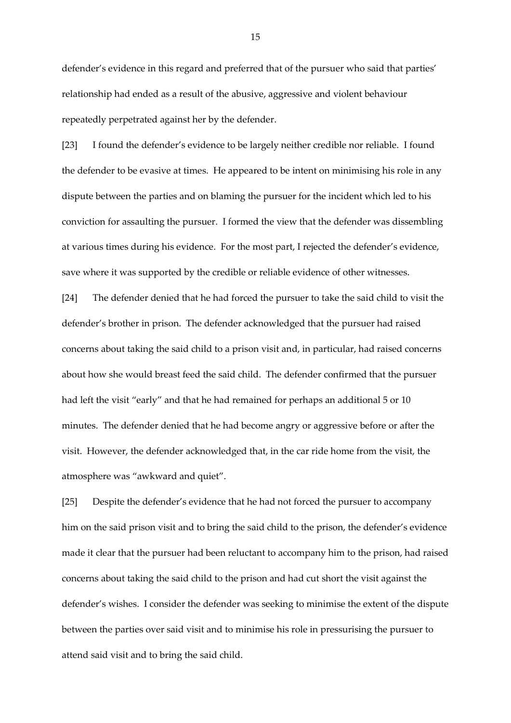defender's evidence in this regard and preferred that of the pursuer who said that parties' relationship had ended as a result of the abusive, aggressive and violent behaviour repeatedly perpetrated against her by the defender.

[23] I found the defender's evidence to be largely neither credible nor reliable. I found the defender to be evasive at times. He appeared to be intent on minimising his role in any dispute between the parties and on blaming the pursuer for the incident which led to his conviction for assaulting the pursuer. I formed the view that the defender was dissembling at various times during his evidence. For the most part, I rejected the defender's evidence, save where it was supported by the credible or reliable evidence of other witnesses.

[24] The defender denied that he had forced the pursuer to take the said child to visit the defender's brother in prison. The defender acknowledged that the pursuer had raised concerns about taking the said child to a prison visit and, in particular, had raised concerns about how she would breast feed the said child. The defender confirmed that the pursuer had left the visit "early" and that he had remained for perhaps an additional 5 or 10 minutes. The defender denied that he had become angry or aggressive before or after the visit. However, the defender acknowledged that, in the car ride home from the visit, the atmosphere was "awkward and quiet".

[25] Despite the defender's evidence that he had not forced the pursuer to accompany him on the said prison visit and to bring the said child to the prison, the defender's evidence made it clear that the pursuer had been reluctant to accompany him to the prison, had raised concerns about taking the said child to the prison and had cut short the visit against the defender's wishes. I consider the defender was seeking to minimise the extent of the dispute between the parties over said visit and to minimise his role in pressurising the pursuer to attend said visit and to bring the said child.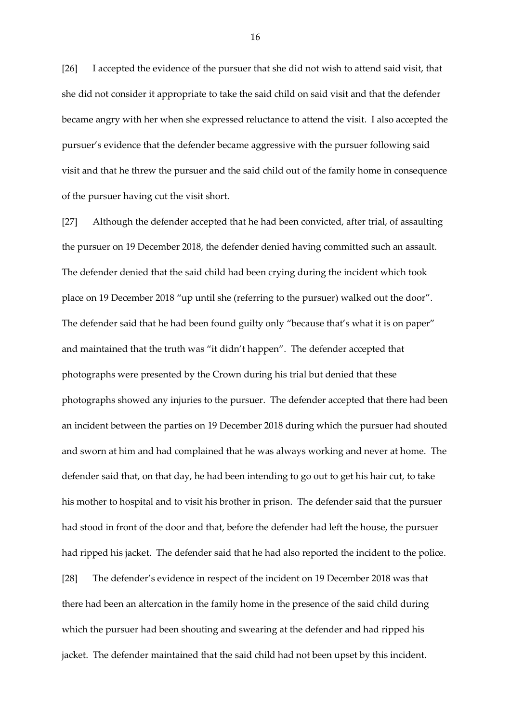[26] I accepted the evidence of the pursuer that she did not wish to attend said visit, that she did not consider it appropriate to take the said child on said visit and that the defender became angry with her when she expressed reluctance to attend the visit. I also accepted the pursuer's evidence that the defender became aggressive with the pursuer following said visit and that he threw the pursuer and the said child out of the family home in consequence of the pursuer having cut the visit short.

[27] Although the defender accepted that he had been convicted, after trial, of assaulting the pursuer on 19 December 2018, the defender denied having committed such an assault. The defender denied that the said child had been crying during the incident which took place on 19 December 2018 "up until she (referring to the pursuer) walked out the door". The defender said that he had been found guilty only "because that's what it is on paper" and maintained that the truth was "it didn't happen". The defender accepted that photographs were presented by the Crown during his trial but denied that these photographs showed any injuries to the pursuer. The defender accepted that there had been an incident between the parties on 19 December 2018 during which the pursuer had shouted and sworn at him and had complained that he was always working and never at home. The defender said that, on that day, he had been intending to go out to get his hair cut, to take his mother to hospital and to visit his brother in prison. The defender said that the pursuer had stood in front of the door and that, before the defender had left the house, the pursuer had ripped his jacket. The defender said that he had also reported the incident to the police. [28] The defender's evidence in respect of the incident on 19 December 2018 was that there had been an altercation in the family home in the presence of the said child during which the pursuer had been shouting and swearing at the defender and had ripped his jacket. The defender maintained that the said child had not been upset by this incident.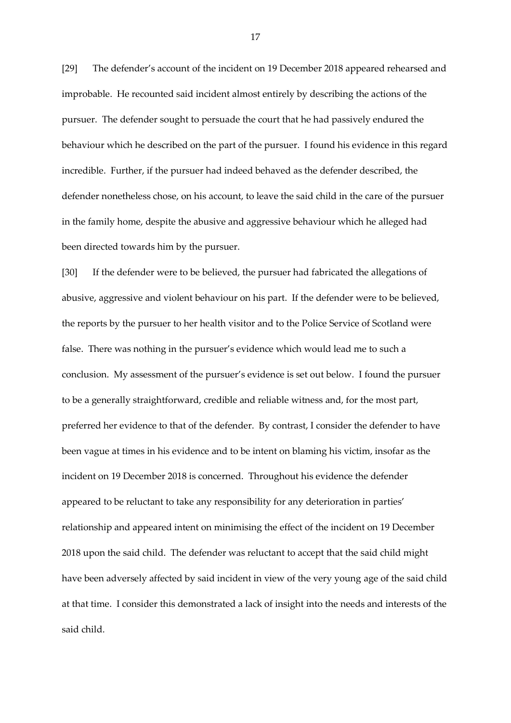[29] The defender's account of the incident on 19 December 2018 appeared rehearsed and improbable. He recounted said incident almost entirely by describing the actions of the pursuer. The defender sought to persuade the court that he had passively endured the behaviour which he described on the part of the pursuer. I found his evidence in this regard incredible. Further, if the pursuer had indeed behaved as the defender described, the defender nonetheless chose, on his account, to leave the said child in the care of the pursuer in the family home, despite the abusive and aggressive behaviour which he alleged had been directed towards him by the pursuer.

[30] If the defender were to be believed, the pursuer had fabricated the allegations of abusive, aggressive and violent behaviour on his part. If the defender were to be believed, the reports by the pursuer to her health visitor and to the Police Service of Scotland were false. There was nothing in the pursuer's evidence which would lead me to such a conclusion. My assessment of the pursuer's evidence is set out below. I found the pursuer to be a generally straightforward, credible and reliable witness and, for the most part, preferred her evidence to that of the defender. By contrast, I consider the defender to have been vague at times in his evidence and to be intent on blaming his victim, insofar as the incident on 19 December 2018 is concerned. Throughout his evidence the defender appeared to be reluctant to take any responsibility for any deterioration in parties' relationship and appeared intent on minimising the effect of the incident on 19 December 2018 upon the said child. The defender was reluctant to accept that the said child might have been adversely affected by said incident in view of the very young age of the said child at that time. I consider this demonstrated a lack of insight into the needs and interests of the said child.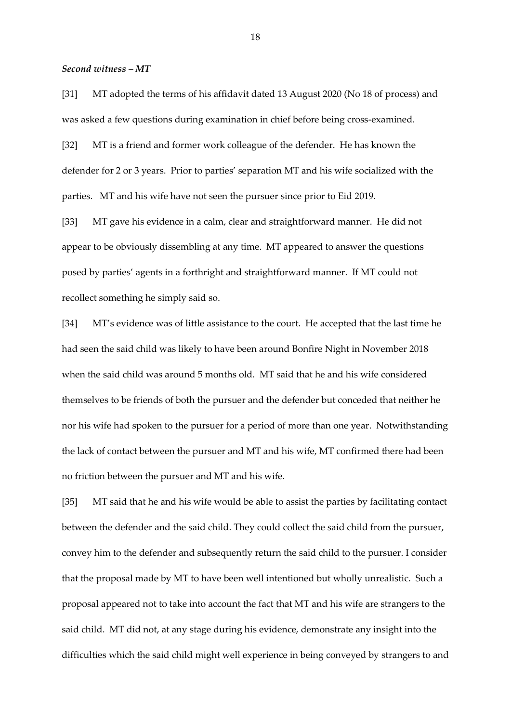## *Second witness – MT*

[31] MT adopted the terms of his affidavit dated 13 August 2020 (No 18 of process) and was asked a few questions during examination in chief before being cross-examined.

[32] MT is a friend and former work colleague of the defender. He has known the defender for 2 or 3 years. Prior to parties' separation MT and his wife socialized with the parties. MT and his wife have not seen the pursuer since prior to Eid 2019.

[33] MT gave his evidence in a calm, clear and straightforward manner. He did not appear to be obviously dissembling at any time. MT appeared to answer the questions posed by parties' agents in a forthright and straightforward manner. If MT could not recollect something he simply said so.

[34] MT's evidence was of little assistance to the court. He accepted that the last time he had seen the said child was likely to have been around Bonfire Night in November 2018 when the said child was around 5 months old. MT said that he and his wife considered themselves to be friends of both the pursuer and the defender but conceded that neither he nor his wife had spoken to the pursuer for a period of more than one year. Notwithstanding the lack of contact between the pursuer and MT and his wife, MT confirmed there had been no friction between the pursuer and MT and his wife.

[35] MT said that he and his wife would be able to assist the parties by facilitating contact between the defender and the said child. They could collect the said child from the pursuer, convey him to the defender and subsequently return the said child to the pursuer. I consider that the proposal made by MT to have been well intentioned but wholly unrealistic. Such a proposal appeared not to take into account the fact that MT and his wife are strangers to the said child. MT did not, at any stage during his evidence, demonstrate any insight into the difficulties which the said child might well experience in being conveyed by strangers to and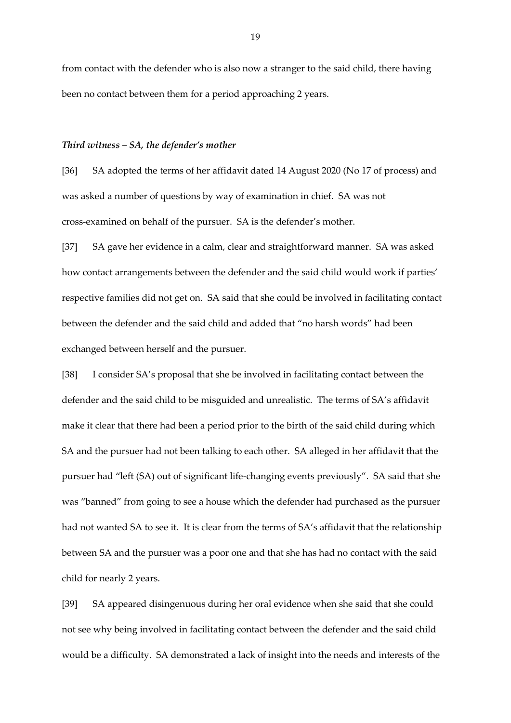from contact with the defender who is also now a stranger to the said child, there having been no contact between them for a period approaching 2 years.

### *Third witness – SA, the defender's mother*

[36] SA adopted the terms of her affidavit dated 14 August 2020 (No 17 of process) and was asked a number of questions by way of examination in chief. SA was not cross-examined on behalf of the pursuer. SA is the defender's mother.

[37] SA gave her evidence in a calm, clear and straightforward manner. SA was asked how contact arrangements between the defender and the said child would work if parties' respective families did not get on. SA said that she could be involved in facilitating contact between the defender and the said child and added that "no harsh words" had been exchanged between herself and the pursuer.

[38] I consider SA's proposal that she be involved in facilitating contact between the defender and the said child to be misguided and unrealistic. The terms of SA's affidavit make it clear that there had been a period prior to the birth of the said child during which SA and the pursuer had not been talking to each other. SA alleged in her affidavit that the pursuer had "left (SA) out of significant life-changing events previously". SA said that she was "banned" from going to see a house which the defender had purchased as the pursuer had not wanted SA to see it. It is clear from the terms of SA's affidavit that the relationship between SA and the pursuer was a poor one and that she has had no contact with the said child for nearly 2 years.

[39] SA appeared disingenuous during her oral evidence when she said that she could not see why being involved in facilitating contact between the defender and the said child would be a difficulty. SA demonstrated a lack of insight into the needs and interests of the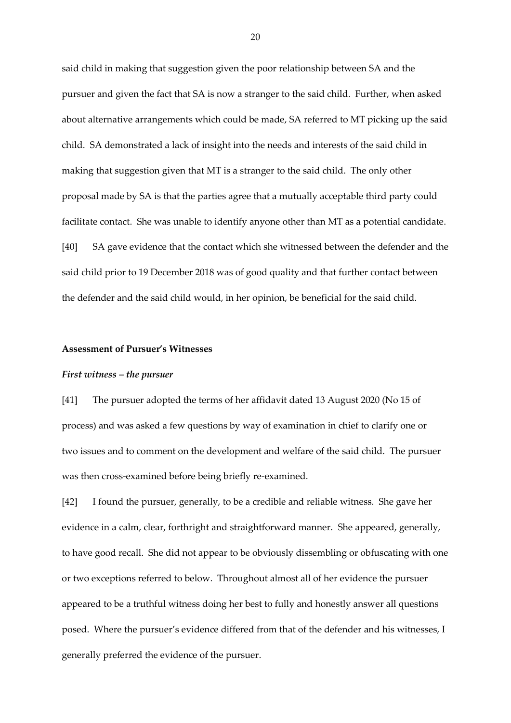said child in making that suggestion given the poor relationship between SA and the pursuer and given the fact that SA is now a stranger to the said child. Further, when asked about alternative arrangements which could be made, SA referred to MT picking up the said child. SA demonstrated a lack of insight into the needs and interests of the said child in making that suggestion given that MT is a stranger to the said child. The only other proposal made by SA is that the parties agree that a mutually acceptable third party could facilitate contact. She was unable to identify anyone other than MT as a potential candidate. [40] SA gave evidence that the contact which she witnessed between the defender and the said child prior to 19 December 2018 was of good quality and that further contact between the defender and the said child would, in her opinion, be beneficial for the said child.

#### **Assessment of Pursuer's Witnesses**

#### *First witness – the pursuer*

[41] The pursuer adopted the terms of her affidavit dated 13 August 2020 (No 15 of process) and was asked a few questions by way of examination in chief to clarify one or two issues and to comment on the development and welfare of the said child. The pursuer was then cross-examined before being briefly re-examined.

[42] I found the pursuer, generally, to be a credible and reliable witness. She gave her evidence in a calm, clear, forthright and straightforward manner. She appeared, generally, to have good recall. She did not appear to be obviously dissembling or obfuscating with one or two exceptions referred to below. Throughout almost all of her evidence the pursuer appeared to be a truthful witness doing her best to fully and honestly answer all questions posed. Where the pursuer's evidence differed from that of the defender and his witnesses, I generally preferred the evidence of the pursuer.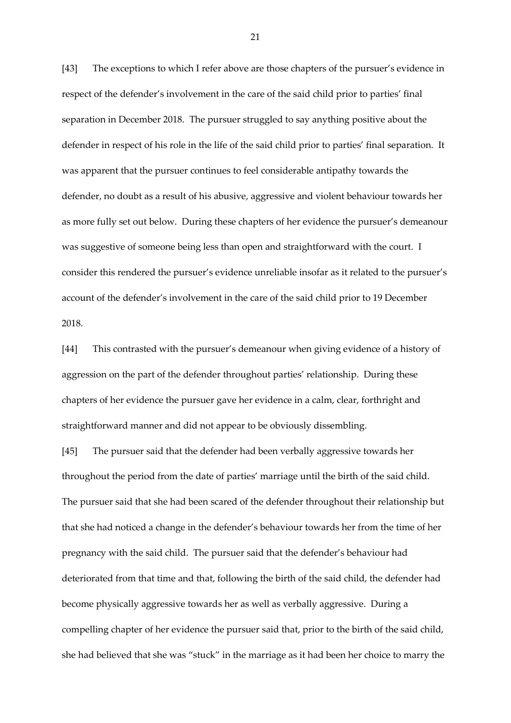[43] The exceptions to which I refer above are those chapters of the pursuer's evidence in respect of the defender's involvement in the care of the said child prior to parties' final separation in December 2018. The pursuer struggled to say anything positive about the defender in respect of his role in the life of the said child prior to parties' final separation. It was apparent that the pursuer continues to feel considerable antipathy towards the defender, no doubt as a result of his abusive, aggressive and violent behaviour towards her as more fully set out below. During these chapters of her evidence the pursuer's demeanour was suggestive of someone being less than open and straightforward with the court. I consider this rendered the pursuer's evidence unreliable insofar as it related to the pursuer's account of the defender's involvement in the care of the said child prior to 19 December 2018.

[44] This contrasted with the pursuer's demeanour when giving evidence of a history of aggression on the part of the defender throughout parties' relationship. During these chapters of her evidence the pursuer gave her evidence in a calm, clear, forthright and straightforward manner and did not appear to be obviously dissembling.

[45] The pursuer said that the defender had been verbally aggressive towards her throughout the period from the date of parties' marriage until the birth of the said child. The pursuer said that she had been scared of the defender throughout their relationship but that she had noticed a change in the defender's behaviour towards her from the time of her pregnancy with the said child. The pursuer said that the defender's behaviour had deteriorated from that time and that, following the birth of the said child, the defender had become physically aggressive towards her as well as verbally aggressive. During a compelling chapter of her evidence the pursuer said that, prior to the birth of the said child, she had believed that she was "stuck" in the marriage as it had been her choice to marry the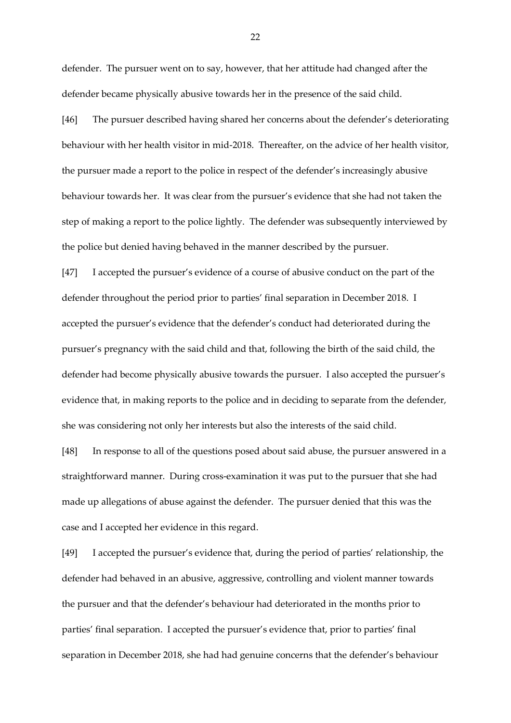defender. The pursuer went on to say, however, that her attitude had changed after the defender became physically abusive towards her in the presence of the said child.

[46] The pursuer described having shared her concerns about the defender's deteriorating behaviour with her health visitor in mid-2018. Thereafter, on the advice of her health visitor, the pursuer made a report to the police in respect of the defender's increasingly abusive behaviour towards her. It was clear from the pursuer's evidence that she had not taken the step of making a report to the police lightly. The defender was subsequently interviewed by the police but denied having behaved in the manner described by the pursuer.

[47] I accepted the pursuer's evidence of a course of abusive conduct on the part of the defender throughout the period prior to parties' final separation in December 2018. I accepted the pursuer's evidence that the defender's conduct had deteriorated during the pursuer's pregnancy with the said child and that, following the birth of the said child, the defender had become physically abusive towards the pursuer. I also accepted the pursuer's evidence that, in making reports to the police and in deciding to separate from the defender, she was considering not only her interests but also the interests of the said child.

[48] In response to all of the questions posed about said abuse, the pursuer answered in a straightforward manner. During cross-examination it was put to the pursuer that she had made up allegations of abuse against the defender. The pursuer denied that this was the case and I accepted her evidence in this regard.

[49] I accepted the pursuer's evidence that, during the period of parties' relationship, the defender had behaved in an abusive, aggressive, controlling and violent manner towards the pursuer and that the defender's behaviour had deteriorated in the months prior to parties' final separation. I accepted the pursuer's evidence that, prior to parties' final separation in December 2018, she had had genuine concerns that the defender's behaviour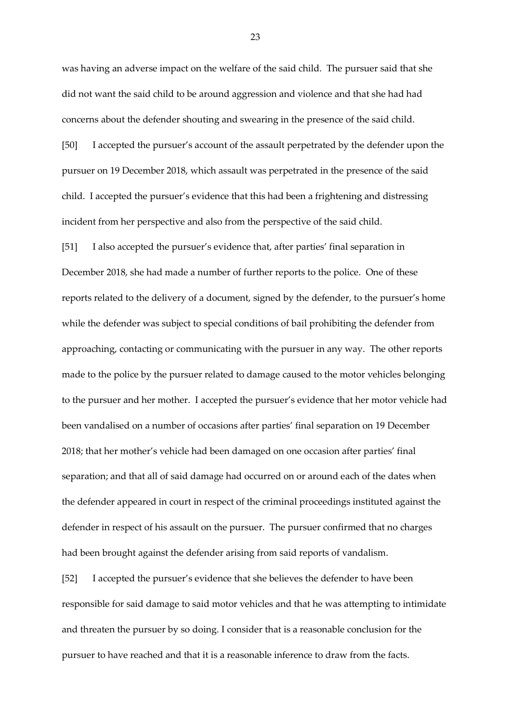was having an adverse impact on the welfare of the said child. The pursuer said that she did not want the said child to be around aggression and violence and that she had had concerns about the defender shouting and swearing in the presence of the said child.

[50] I accepted the pursuer's account of the assault perpetrated by the defender upon the pursuer on 19 December 2018, which assault was perpetrated in the presence of the said child. I accepted the pursuer's evidence that this had been a frightening and distressing incident from her perspective and also from the perspective of the said child.

[51] I also accepted the pursuer's evidence that, after parties' final separation in December 2018, she had made a number of further reports to the police. One of these reports related to the delivery of a document, signed by the defender, to the pursuer's home while the defender was subject to special conditions of bail prohibiting the defender from approaching, contacting or communicating with the pursuer in any way. The other reports made to the police by the pursuer related to damage caused to the motor vehicles belonging to the pursuer and her mother. I accepted the pursuer's evidence that her motor vehicle had been vandalised on a number of occasions after parties' final separation on 19 December 2018; that her mother's vehicle had been damaged on one occasion after parties' final separation; and that all of said damage had occurred on or around each of the dates when the defender appeared in court in respect of the criminal proceedings instituted against the defender in respect of his assault on the pursuer. The pursuer confirmed that no charges had been brought against the defender arising from said reports of vandalism.

[52] I accepted the pursuer's evidence that she believes the defender to have been responsible for said damage to said motor vehicles and that he was attempting to intimidate and threaten the pursuer by so doing. I consider that is a reasonable conclusion for the pursuer to have reached and that it is a reasonable inference to draw from the facts.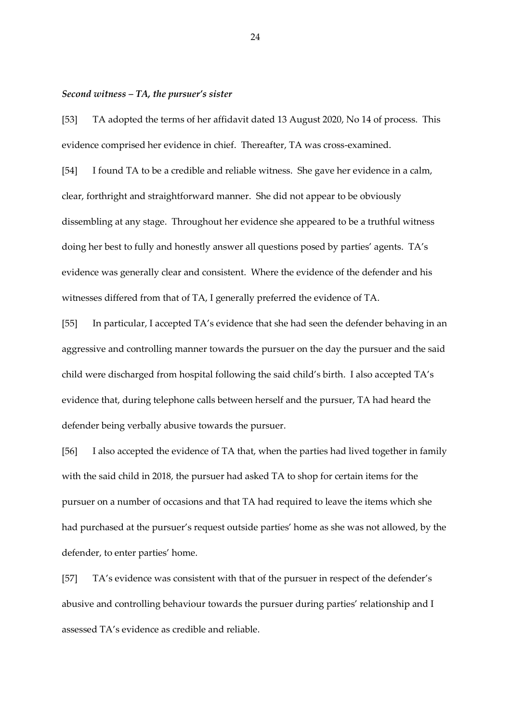### *Second witness – TA, the pursuer's sister*

[53] TA adopted the terms of her affidavit dated 13 August 2020, No 14 of process. This evidence comprised her evidence in chief. Thereafter, TA was cross-examined.

[54] I found TA to be a credible and reliable witness. She gave her evidence in a calm, clear, forthright and straightforward manner. She did not appear to be obviously dissembling at any stage. Throughout her evidence she appeared to be a truthful witness doing her best to fully and honestly answer all questions posed by parties' agents. TA's evidence was generally clear and consistent. Where the evidence of the defender and his witnesses differed from that of TA, I generally preferred the evidence of TA.

[55] In particular, I accepted TA's evidence that she had seen the defender behaving in an aggressive and controlling manner towards the pursuer on the day the pursuer and the said child were discharged from hospital following the said child's birth. I also accepted TA's evidence that, during telephone calls between herself and the pursuer, TA had heard the defender being verbally abusive towards the pursuer.

[56] I also accepted the evidence of TA that, when the parties had lived together in family with the said child in 2018, the pursuer had asked TA to shop for certain items for the pursuer on a number of occasions and that TA had required to leave the items which she had purchased at the pursuer's request outside parties' home as she was not allowed, by the defender, to enter parties' home.

[57] TA's evidence was consistent with that of the pursuer in respect of the defender's abusive and controlling behaviour towards the pursuer during parties' relationship and I assessed TA's evidence as credible and reliable.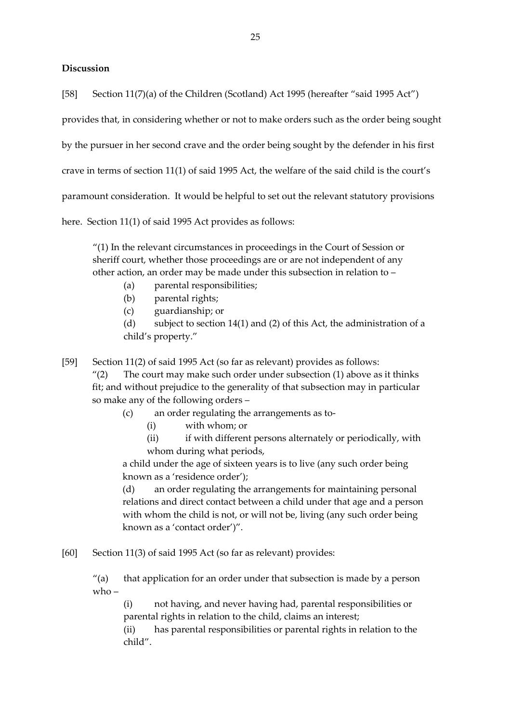# **Discussion**

[58] Section 11(7)(a) of the Children (Scotland) Act 1995 (hereafter "said 1995 Act")

provides that, in considering whether or not to make orders such as the order being sought

by the pursuer in her second crave and the order being sought by the defender in his first

crave in terms of section 11(1) of said 1995 Act, the welfare of the said child is the court's

paramount consideration. It would be helpful to set out the relevant statutory provisions

here. Section 11(1) of said 1995 Act provides as follows:

"(1) In the relevant circumstances in proceedings in the Court of Session or sheriff court, whether those proceedings are or are not independent of any other action, an order may be made under this subsection in relation to –

- (a) parental responsibilities;
- (b) parental rights;
- (c) guardianship; or

(d) subject to section 14(1) and (2) of this Act, the administration of a child's property."

[59] Section 11(2) of said 1995 Act (so far as relevant) provides as follows:

" $(2)$  The court may make such order under subsection  $(1)$  above as it thinks fit; and without prejudice to the generality of that subsection may in particular so make any of the following orders –

- (c) an order regulating the arrangements as to-
	- (i) with whom; or
	- (ii) if with different persons alternately or periodically, with whom during what periods,

a child under the age of sixteen years is to live (any such order being known as a 'residence order');

(d) an order regulating the arrangements for maintaining personal relations and direct contact between a child under that age and a person with whom the child is not, or will not be, living (any such order being known as a 'contact order')".

[60] Section 11(3) of said 1995 Act (so far as relevant) provides:

 $''(a)$  that application for an order under that subsection is made by a person  $w$ ho –

(i) not having, and never having had, parental responsibilities or parental rights in relation to the child, claims an interest;

(ii) has parental responsibilities or parental rights in relation to the child".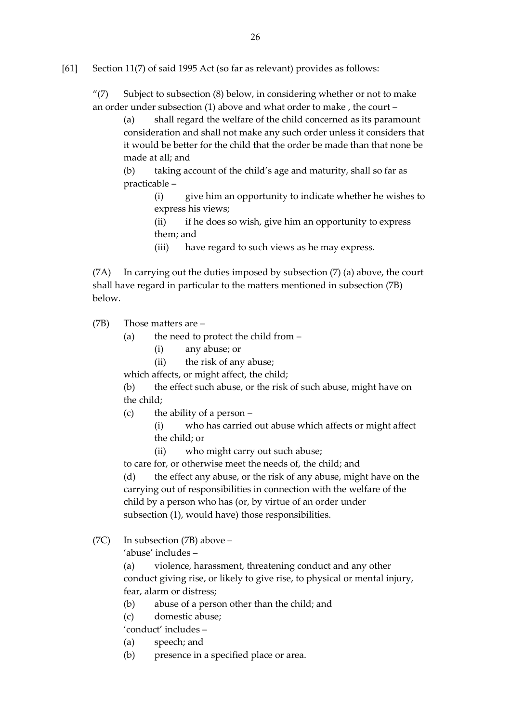[61] Section 11(7) of said 1995 Act (so far as relevant) provides as follows:

"(7) Subject to subsection  $(8)$  below, in considering whether or not to make an order under subsection (1) above and what order to make , the court –

(a) shall regard the welfare of the child concerned as its paramount consideration and shall not make any such order unless it considers that it would be better for the child that the order be made than that none be made at all; and

(b) taking account of the child's age and maturity, shall so far as practicable –

> (i) give him an opportunity to indicate whether he wishes to express his views;

(ii) if he does so wish, give him an opportunity to express them; and

(iii) have regard to such views as he may express.

(7A) In carrying out the duties imposed by subsection (7) (a) above, the court shall have regard in particular to the matters mentioned in subsection (7B) below.

(7B) Those matters are –

- (a) the need to protect the child from
	- (i) any abuse; or
	- (ii) the risk of any abuse;
- which affects, or might affect, the child;

(b) the effect such abuse, or the risk of such abuse, might have on the child;

- (c) the ability of a person
	- (i) who has carried out abuse which affects or might affect the child; or
	- (ii) who might carry out such abuse;

to care for, or otherwise meet the needs of, the child; and

(d) the effect any abuse, or the risk of any abuse, might have on the carrying out of responsibilities in connection with the welfare of the child by a person who has (or, by virtue of an order under subsection (1), would have) those responsibilities.

(7C) In subsection (7B) above –

'abuse' includes –

(a) violence, harassment, threatening conduct and any other conduct giving rise, or likely to give rise, to physical or mental injury, fear, alarm or distress;

- (b) abuse of a person other than the child; and
- (c) domestic abuse;
- 'conduct' includes –
- (a) speech; and
- (b) presence in a specified place or area.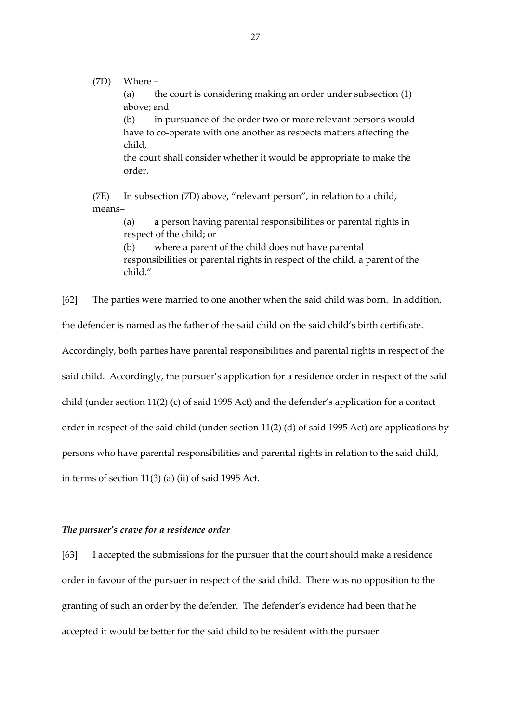(7D) Where – (a) the court is considering making an order under subsection (1) above; and (b) in pursuance of the order two or more relevant persons would have to co-operate with one another as respects matters affecting the child, the court shall consider whether it would be appropriate to make the order.

(7E) In subsection (7D) above, "relevant person", in relation to a child, means–

> (a) a person having parental responsibilities or parental rights in respect of the child; or

(b) where a parent of the child does not have parental responsibilities or parental rights in respect of the child, a parent of the child."

[62] The parties were married to one another when the said child was born. In addition,

the defender is named as the father of the said child on the said child's birth certificate.

Accordingly, both parties have parental responsibilities and parental rights in respect of the

said child. Accordingly, the pursuer's application for a residence order in respect of the said

child (under section 11(2) (c) of said 1995 Act) and the defender's application for a contact

order in respect of the said child (under section 11(2) (d) of said 1995 Act) are applications by

persons who have parental responsibilities and parental rights in relation to the said child,

in terms of section 11(3) (a) (ii) of said 1995 Act.

## *The pursuer's crave for a residence order*

[63] I accepted the submissions for the pursuer that the court should make a residence order in favour of the pursuer in respect of the said child. There was no opposition to the granting of such an order by the defender. The defender's evidence had been that he accepted it would be better for the said child to be resident with the pursuer.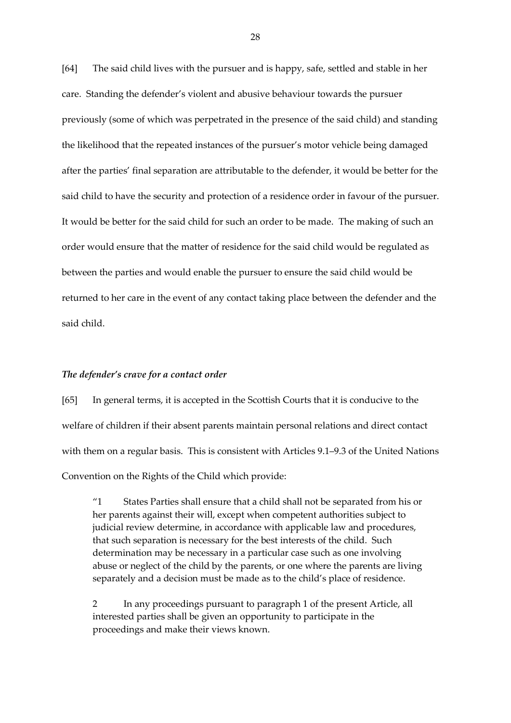[64] The said child lives with the pursuer and is happy, safe, settled and stable in her care. Standing the defender's violent and abusive behaviour towards the pursuer previously (some of which was perpetrated in the presence of the said child) and standing the likelihood that the repeated instances of the pursuer's motor vehicle being damaged after the parties' final separation are attributable to the defender, it would be better for the said child to have the security and protection of a residence order in favour of the pursuer. It would be better for the said child for such an order to be made. The making of such an order would ensure that the matter of residence for the said child would be regulated as between the parties and would enable the pursuer to ensure the said child would be returned to her care in the event of any contact taking place between the defender and the said child.

## *The defender's crave for a contact order*

[65] In general terms, it is accepted in the Scottish Courts that it is conducive to the welfare of children if their absent parents maintain personal relations and direct contact with them on a regular basis. This is consistent with Articles 9.1–9.3 of the United Nations Convention on the Rights of the Child which provide:

"1 States Parties shall ensure that a child shall not be separated from his or her parents against their will, except when competent authorities subject to judicial review determine, in accordance with applicable law and procedures, that such separation is necessary for the best interests of the child. Such determination may be necessary in a particular case such as one involving abuse or neglect of the child by the parents, or one where the parents are living separately and a decision must be made as to the child's place of residence.

2 In any proceedings pursuant to paragraph 1 of the present Article, all interested parties shall be given an opportunity to participate in the proceedings and make their views known.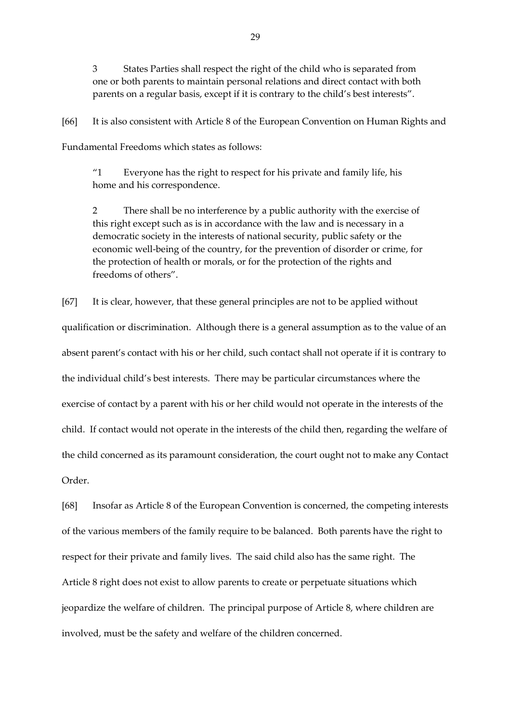3 States Parties shall respect the right of the child who is separated from one or both parents to maintain personal relations and direct contact with both parents on a regular basis, except if it is contrary to the child's best interests".

[66] It is also consistent with Article 8 of the European Convention on Human Rights and Fundamental Freedoms which states as follows:

"1 Everyone has the right to respect for his private and family life, his home and his correspondence.

2 There shall be no interference by a public authority with the exercise of this right except such as is in accordance with the law and is necessary in a democratic society in the interests of national security, public safety or the economic well-being of the country, for the prevention of disorder or crime, for the protection of health or morals, or for the protection of the rights and freedoms of others".

[67] It is clear, however, that these general principles are not to be applied without qualification or discrimination. Although there is a general assumption as to the value of an absent parent's contact with his or her child, such contact shall not operate if it is contrary to the individual child's best interests. There may be particular circumstances where the exercise of contact by a parent with his or her child would not operate in the interests of the child. If contact would not operate in the interests of the child then, regarding the welfare of the child concerned as its paramount consideration, the court ought not to make any Contact Order.

[68] Insofar as Article 8 of the European Convention is concerned, the competing interests of the various members of the family require to be balanced. Both parents have the right to respect for their private and family lives. The said child also has the same right. The Article 8 right does not exist to allow parents to create or perpetuate situations which jeopardize the welfare of children. The principal purpose of Article 8, where children are involved, must be the safety and welfare of the children concerned.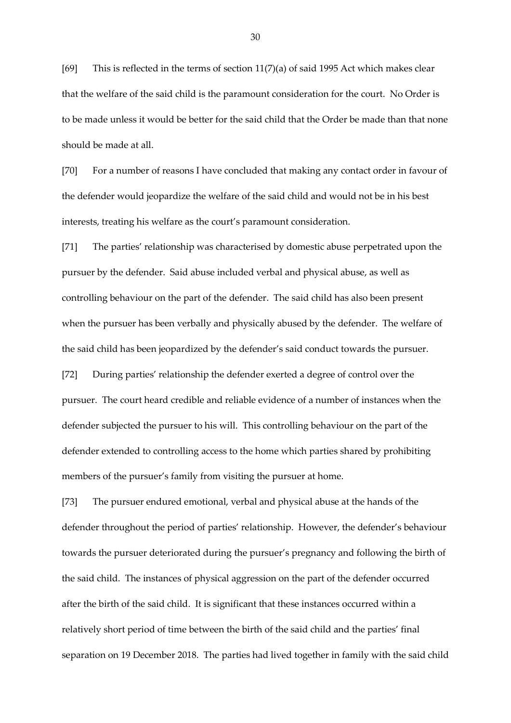[69] This is reflected in the terms of section 11(7)(a) of said 1995 Act which makes clear that the welfare of the said child is the paramount consideration for the court. No Order is to be made unless it would be better for the said child that the Order be made than that none should be made at all.

[70] For a number of reasons I have concluded that making any contact order in favour of the defender would jeopardize the welfare of the said child and would not be in his best interests, treating his welfare as the court's paramount consideration.

[71] The parties' relationship was characterised by domestic abuse perpetrated upon the pursuer by the defender. Said abuse included verbal and physical abuse, as well as controlling behaviour on the part of the defender. The said child has also been present when the pursuer has been verbally and physically abused by the defender. The welfare of the said child has been jeopardized by the defender's said conduct towards the pursuer.

[72] During parties' relationship the defender exerted a degree of control over the pursuer. The court heard credible and reliable evidence of a number of instances when the defender subjected the pursuer to his will. This controlling behaviour on the part of the defender extended to controlling access to the home which parties shared by prohibiting members of the pursuer's family from visiting the pursuer at home.

[73] The pursuer endured emotional, verbal and physical abuse at the hands of the defender throughout the period of parties' relationship. However, the defender's behaviour towards the pursuer deteriorated during the pursuer's pregnancy and following the birth of the said child. The instances of physical aggression on the part of the defender occurred after the birth of the said child. It is significant that these instances occurred within a relatively short period of time between the birth of the said child and the parties' final separation on 19 December 2018. The parties had lived together in family with the said child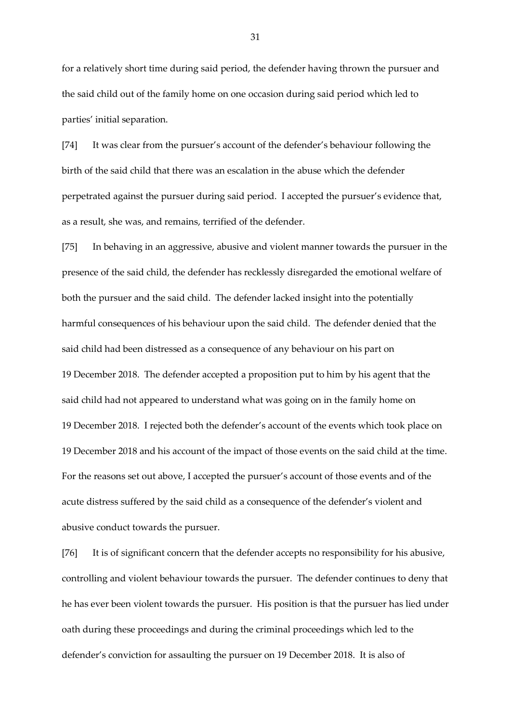for a relatively short time during said period, the defender having thrown the pursuer and the said child out of the family home on one occasion during said period which led to parties' initial separation.

[74] It was clear from the pursuer's account of the defender's behaviour following the birth of the said child that there was an escalation in the abuse which the defender perpetrated against the pursuer during said period. I accepted the pursuer's evidence that, as a result, she was, and remains, terrified of the defender.

[75] In behaving in an aggressive, abusive and violent manner towards the pursuer in the presence of the said child, the defender has recklessly disregarded the emotional welfare of both the pursuer and the said child. The defender lacked insight into the potentially harmful consequences of his behaviour upon the said child. The defender denied that the said child had been distressed as a consequence of any behaviour on his part on 19 December 2018. The defender accepted a proposition put to him by his agent that the said child had not appeared to understand what was going on in the family home on 19 December 2018. I rejected both the defender's account of the events which took place on 19 December 2018 and his account of the impact of those events on the said child at the time. For the reasons set out above, I accepted the pursuer's account of those events and of the acute distress suffered by the said child as a consequence of the defender's violent and abusive conduct towards the pursuer.

[76] It is of significant concern that the defender accepts no responsibility for his abusive, controlling and violent behaviour towards the pursuer. The defender continues to deny that he has ever been violent towards the pursuer. His position is that the pursuer has lied under oath during these proceedings and during the criminal proceedings which led to the defender's conviction for assaulting the pursuer on 19 December 2018. It is also of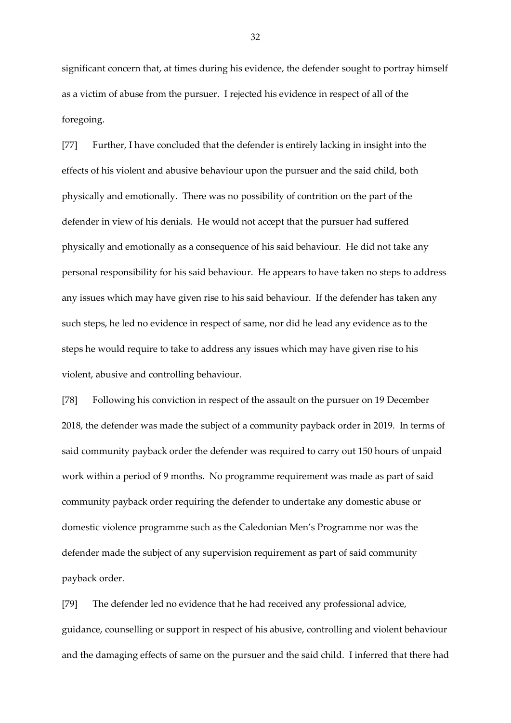significant concern that, at times during his evidence, the defender sought to portray himself as a victim of abuse from the pursuer. I rejected his evidence in respect of all of the foregoing.

[77] Further, I have concluded that the defender is entirely lacking in insight into the effects of his violent and abusive behaviour upon the pursuer and the said child, both physically and emotionally. There was no possibility of contrition on the part of the defender in view of his denials. He would not accept that the pursuer had suffered physically and emotionally as a consequence of his said behaviour. He did not take any personal responsibility for his said behaviour. He appears to have taken no steps to address any issues which may have given rise to his said behaviour. If the defender has taken any such steps, he led no evidence in respect of same, nor did he lead any evidence as to the steps he would require to take to address any issues which may have given rise to his violent, abusive and controlling behaviour.

[78] Following his conviction in respect of the assault on the pursuer on 19 December 2018, the defender was made the subject of a community payback order in 2019. In terms of said community payback order the defender was required to carry out 150 hours of unpaid work within a period of 9 months. No programme requirement was made as part of said community payback order requiring the defender to undertake any domestic abuse or domestic violence programme such as the Caledonian Men's Programme nor was the defender made the subject of any supervision requirement as part of said community payback order.

[79] The defender led no evidence that he had received any professional advice, guidance, counselling or support in respect of his abusive, controlling and violent behaviour and the damaging effects of same on the pursuer and the said child. I inferred that there had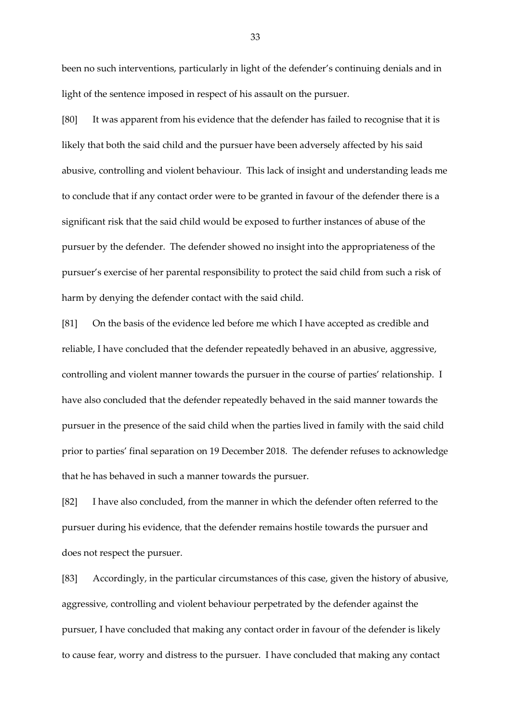been no such interventions, particularly in light of the defender's continuing denials and in light of the sentence imposed in respect of his assault on the pursuer.

[80] It was apparent from his evidence that the defender has failed to recognise that it is likely that both the said child and the pursuer have been adversely affected by his said abusive, controlling and violent behaviour. This lack of insight and understanding leads me to conclude that if any contact order were to be granted in favour of the defender there is a significant risk that the said child would be exposed to further instances of abuse of the pursuer by the defender. The defender showed no insight into the appropriateness of the pursuer's exercise of her parental responsibility to protect the said child from such a risk of harm by denying the defender contact with the said child.

[81] On the basis of the evidence led before me which I have accepted as credible and reliable, I have concluded that the defender repeatedly behaved in an abusive, aggressive, controlling and violent manner towards the pursuer in the course of parties' relationship. I have also concluded that the defender repeatedly behaved in the said manner towards the pursuer in the presence of the said child when the parties lived in family with the said child prior to parties' final separation on 19 December 2018. The defender refuses to acknowledge that he has behaved in such a manner towards the pursuer.

[82] I have also concluded, from the manner in which the defender often referred to the pursuer during his evidence, that the defender remains hostile towards the pursuer and does not respect the pursuer.

[83] Accordingly, in the particular circumstances of this case, given the history of abusive, aggressive, controlling and violent behaviour perpetrated by the defender against the pursuer, I have concluded that making any contact order in favour of the defender is likely to cause fear, worry and distress to the pursuer. I have concluded that making any contact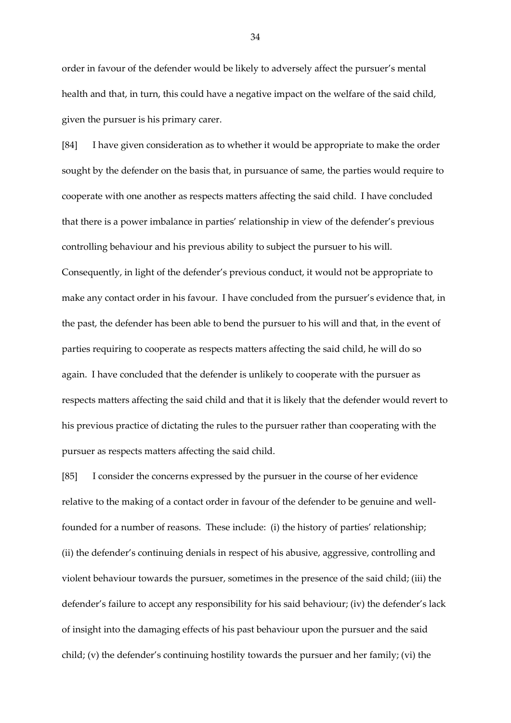order in favour of the defender would be likely to adversely affect the pursuer's mental health and that, in turn, this could have a negative impact on the welfare of the said child, given the pursuer is his primary carer.

[84] I have given consideration as to whether it would be appropriate to make the order sought by the defender on the basis that, in pursuance of same, the parties would require to cooperate with one another as respects matters affecting the said child. I have concluded that there is a power imbalance in parties' relationship in view of the defender's previous controlling behaviour and his previous ability to subject the pursuer to his will. Consequently, in light of the defender's previous conduct, it would not be appropriate to make any contact order in his favour. I have concluded from the pursuer's evidence that, in the past, the defender has been able to bend the pursuer to his will and that, in the event of parties requiring to cooperate as respects matters affecting the said child, he will do so again. I have concluded that the defender is unlikely to cooperate with the pursuer as respects matters affecting the said child and that it is likely that the defender would revert to his previous practice of dictating the rules to the pursuer rather than cooperating with the pursuer as respects matters affecting the said child.

[85] I consider the concerns expressed by the pursuer in the course of her evidence relative to the making of a contact order in favour of the defender to be genuine and wellfounded for a number of reasons. These include: (i) the history of parties' relationship; (ii) the defender's continuing denials in respect of his abusive, aggressive, controlling and violent behaviour towards the pursuer, sometimes in the presence of the said child; (iii) the defender's failure to accept any responsibility for his said behaviour; (iv) the defender's lack of insight into the damaging effects of his past behaviour upon the pursuer and the said child; (v) the defender's continuing hostility towards the pursuer and her family; (vi) the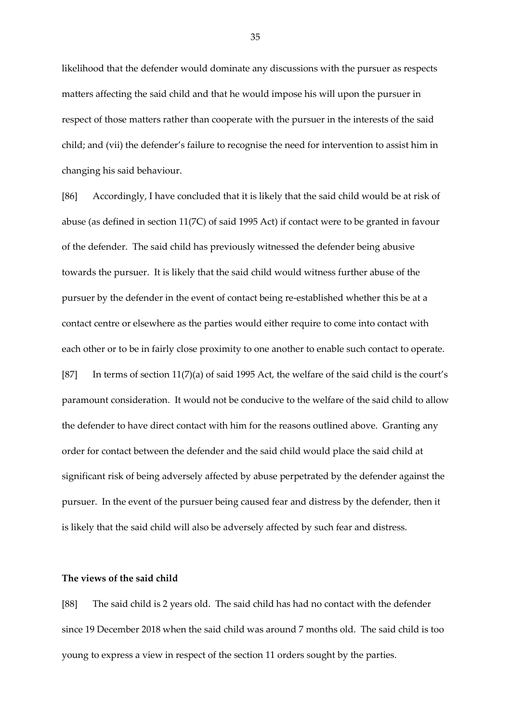likelihood that the defender would dominate any discussions with the pursuer as respects matters affecting the said child and that he would impose his will upon the pursuer in respect of those matters rather than cooperate with the pursuer in the interests of the said child; and (vii) the defender's failure to recognise the need for intervention to assist him in changing his said behaviour.

[86] Accordingly, I have concluded that it is likely that the said child would be at risk of abuse (as defined in section 11(7C) of said 1995 Act) if contact were to be granted in favour of the defender. The said child has previously witnessed the defender being abusive towards the pursuer. It is likely that the said child would witness further abuse of the pursuer by the defender in the event of contact being re-established whether this be at a contact centre or elsewhere as the parties would either require to come into contact with each other or to be in fairly close proximity to one another to enable such contact to operate. [87] In terms of section 11(7)(a) of said 1995 Act, the welfare of the said child is the court's paramount consideration. It would not be conducive to the welfare of the said child to allow the defender to have direct contact with him for the reasons outlined above. Granting any order for contact between the defender and the said child would place the said child at significant risk of being adversely affected by abuse perpetrated by the defender against the pursuer. In the event of the pursuer being caused fear and distress by the defender, then it is likely that the said child will also be adversely affected by such fear and distress.

## **The views of the said child**

[88] The said child is 2 years old. The said child has had no contact with the defender since 19 December 2018 when the said child was around 7 months old. The said child is too young to express a view in respect of the section 11 orders sought by the parties.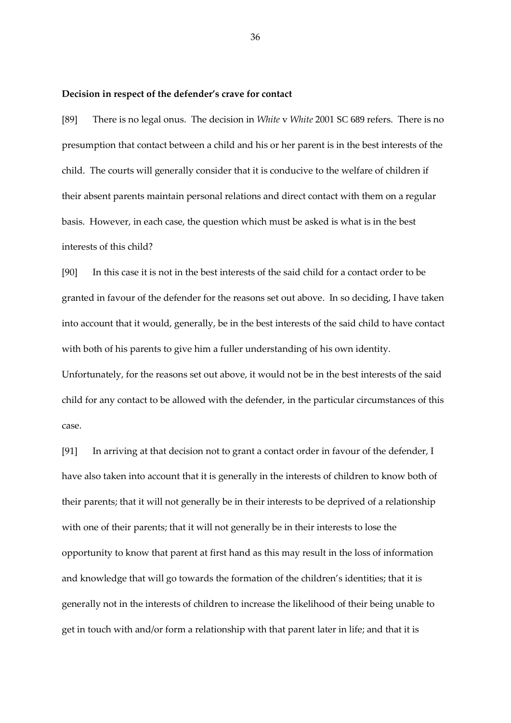#### **Decision in respect of the defender's crave for contact**

[89] There is no legal onus. The decision in *White* v *White* 2001 SC 689 refers. There is no presumption that contact between a child and his or her parent is in the best interests of the child. The courts will generally consider that it is conducive to the welfare of children if their absent parents maintain personal relations and direct contact with them on a regular basis. However, in each case, the question which must be asked is what is in the best interests of this child?

[90] In this case it is not in the best interests of the said child for a contact order to be granted in favour of the defender for the reasons set out above. In so deciding, I have taken into account that it would, generally, be in the best interests of the said child to have contact with both of his parents to give him a fuller understanding of his own identity.

Unfortunately, for the reasons set out above, it would not be in the best interests of the said child for any contact to be allowed with the defender, in the particular circumstances of this case.

[91] In arriving at that decision not to grant a contact order in favour of the defender, I have also taken into account that it is generally in the interests of children to know both of their parents; that it will not generally be in their interests to be deprived of a relationship with one of their parents; that it will not generally be in their interests to lose the opportunity to know that parent at first hand as this may result in the loss of information and knowledge that will go towards the formation of the children's identities; that it is generally not in the interests of children to increase the likelihood of their being unable to get in touch with and/or form a relationship with that parent later in life; and that it is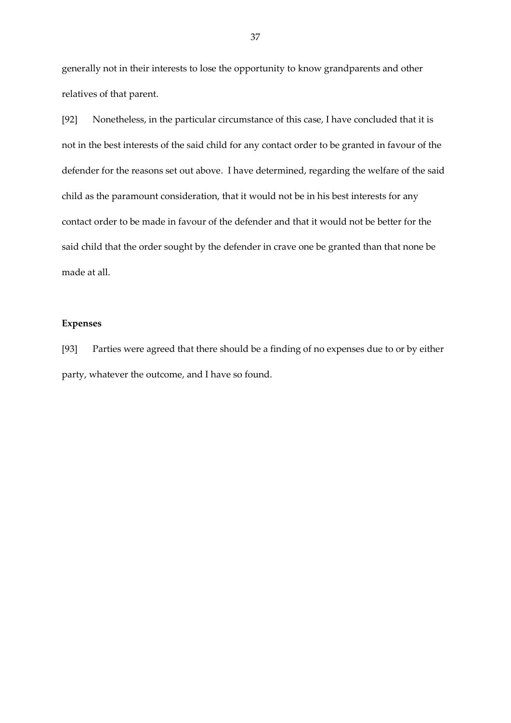generally not in their interests to lose the opportunity to know grandparents and other relatives of that parent.

[92] Nonetheless, in the particular circumstance of this case, I have concluded that it is not in the best interests of the said child for any contact order to be granted in favour of the defender for the reasons set out above. I have determined, regarding the welfare of the said child as the paramount consideration, that it would not be in his best interests for any contact order to be made in favour of the defender and that it would not be better for the said child that the order sought by the defender in crave one be granted than that none be made at all.

## **Expenses**

[93] Parties were agreed that there should be a finding of no expenses due to or by either party, whatever the outcome, and I have so found.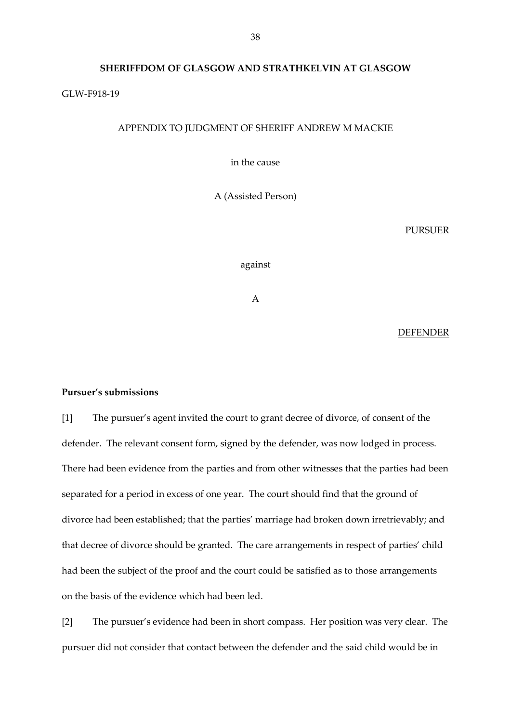### **SHERIFFDOM OF GLASGOW AND STRATHKELVIN AT GLASGOW**

## GLW-F918-19

# APPENDIX TO JUDGMENT OF SHERIFF ANDREW M MACKIE

in the cause

A (Assisted Person)

#### PURSUER

against

A

## DEFENDER

## **Pursuer's submissions**

[1] The pursuer's agent invited the court to grant decree of divorce, of consent of the defender. The relevant consent form, signed by the defender, was now lodged in process. There had been evidence from the parties and from other witnesses that the parties had been separated for a period in excess of one year. The court should find that the ground of divorce had been established; that the parties' marriage had broken down irretrievably; and that decree of divorce should be granted. The care arrangements in respect of parties' child had been the subject of the proof and the court could be satisfied as to those arrangements on the basis of the evidence which had been led.

[2] The pursuer's evidence had been in short compass. Her position was very clear. The pursuer did not consider that contact between the defender and the said child would be in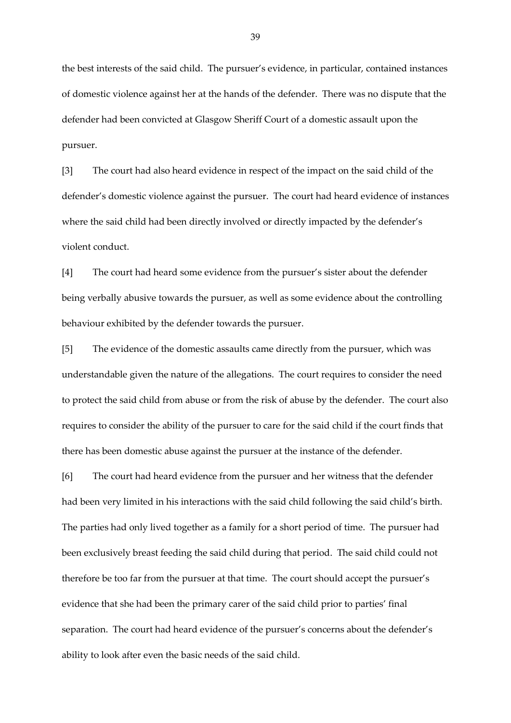the best interests of the said child. The pursuer's evidence, in particular, contained instances of domestic violence against her at the hands of the defender. There was no dispute that the defender had been convicted at Glasgow Sheriff Court of a domestic assault upon the pursuer.

[3] The court had also heard evidence in respect of the impact on the said child of the defender's domestic violence against the pursuer. The court had heard evidence of instances where the said child had been directly involved or directly impacted by the defender's violent conduct.

[4] The court had heard some evidence from the pursuer's sister about the defender being verbally abusive towards the pursuer, as well as some evidence about the controlling behaviour exhibited by the defender towards the pursuer.

[5] The evidence of the domestic assaults came directly from the pursuer, which was understandable given the nature of the allegations. The court requires to consider the need to protect the said child from abuse or from the risk of abuse by the defender. The court also requires to consider the ability of the pursuer to care for the said child if the court finds that there has been domestic abuse against the pursuer at the instance of the defender.

[6] The court had heard evidence from the pursuer and her witness that the defender had been very limited in his interactions with the said child following the said child's birth. The parties had only lived together as a family for a short period of time. The pursuer had been exclusively breast feeding the said child during that period. The said child could not therefore be too far from the pursuer at that time. The court should accept the pursuer's evidence that she had been the primary carer of the said child prior to parties' final separation. The court had heard evidence of the pursuer's concerns about the defender's ability to look after even the basic needs of the said child.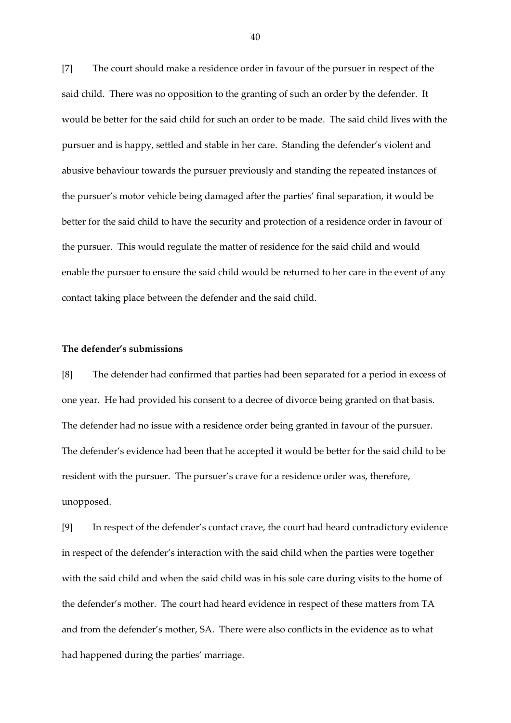[7] The court should make a residence order in favour of the pursuer in respect of the said child. There was no opposition to the granting of such an order by the defender. It would be better for the said child for such an order to be made. The said child lives with the pursuer and is happy, settled and stable in her care. Standing the defender's violent and abusive behaviour towards the pursuer previously and standing the repeated instances of the pursuer's motor vehicle being damaged after the parties' final separation, it would be better for the said child to have the security and protection of a residence order in favour of the pursuer. This would regulate the matter of residence for the said child and would enable the pursuer to ensure the said child would be returned to her care in the event of any contact taking place between the defender and the said child.

## **The defender's submissions**

[8] The defender had confirmed that parties had been separated for a period in excess of one year. He had provided his consent to a decree of divorce being granted on that basis. The defender had no issue with a residence order being granted in favour of the pursuer. The defender's evidence had been that he accepted it would be better for the said child to be resident with the pursuer. The pursuer's crave for a residence order was, therefore, unopposed.

[9] In respect of the defender's contact crave, the court had heard contradictory evidence in respect of the defender's interaction with the said child when the parties were together with the said child and when the said child was in his sole care during visits to the home of the defender's mother. The court had heard evidence in respect of these matters from TA and from the defender's mother, SA. There were also conflicts in the evidence as to what had happened during the parties' marriage.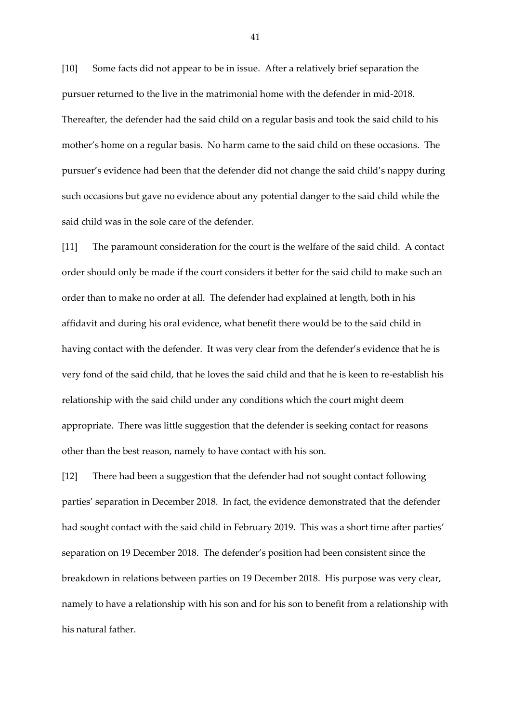[10] Some facts did not appear to be in issue. After a relatively brief separation the pursuer returned to the live in the matrimonial home with the defender in mid-2018. Thereafter, the defender had the said child on a regular basis and took the said child to his mother's home on a regular basis. No harm came to the said child on these occasions. The pursuer's evidence had been that the defender did not change the said child's nappy during such occasions but gave no evidence about any potential danger to the said child while the said child was in the sole care of the defender.

[11] The paramount consideration for the court is the welfare of the said child. A contact order should only be made if the court considers it better for the said child to make such an order than to make no order at all. The defender had explained at length, both in his affidavit and during his oral evidence, what benefit there would be to the said child in having contact with the defender. It was very clear from the defender's evidence that he is very fond of the said child, that he loves the said child and that he is keen to re-establish his relationship with the said child under any conditions which the court might deem appropriate. There was little suggestion that the defender is seeking contact for reasons other than the best reason, namely to have contact with his son.

[12] There had been a suggestion that the defender had not sought contact following parties' separation in December 2018. In fact, the evidence demonstrated that the defender had sought contact with the said child in February 2019. This was a short time after parties' separation on 19 December 2018. The defender's position had been consistent since the breakdown in relations between parties on 19 December 2018. His purpose was very clear, namely to have a relationship with his son and for his son to benefit from a relationship with his natural father.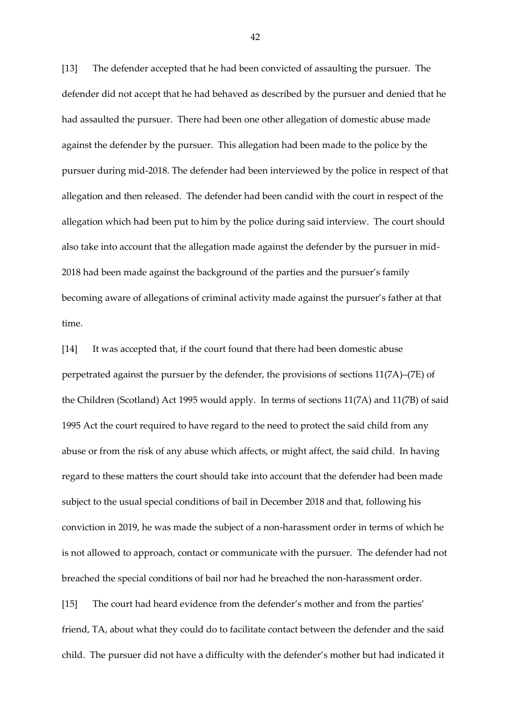[13] The defender accepted that he had been convicted of assaulting the pursuer. The defender did not accept that he had behaved as described by the pursuer and denied that he had assaulted the pursuer. There had been one other allegation of domestic abuse made against the defender by the pursuer. This allegation had been made to the police by the pursuer during mid-2018. The defender had been interviewed by the police in respect of that allegation and then released. The defender had been candid with the court in respect of the allegation which had been put to him by the police during said interview. The court should also take into account that the allegation made against the defender by the pursuer in mid-2018 had been made against the background of the parties and the pursuer's family becoming aware of allegations of criminal activity made against the pursuer's father at that time.

[14] It was accepted that, if the court found that there had been domestic abuse perpetrated against the pursuer by the defender, the provisions of sections 11(7A)–(7E) of the Children (Scotland) Act 1995 would apply. In terms of sections 11(7A) and 11(7B) of said 1995 Act the court required to have regard to the need to protect the said child from any abuse or from the risk of any abuse which affects, or might affect, the said child. In having regard to these matters the court should take into account that the defender had been made subject to the usual special conditions of bail in December 2018 and that, following his conviction in 2019, he was made the subject of a non-harassment order in terms of which he is not allowed to approach, contact or communicate with the pursuer. The defender had not breached the special conditions of bail nor had he breached the non-harassment order.

[15] The court had heard evidence from the defender's mother and from the parties' friend, TA, about what they could do to facilitate contact between the defender and the said child. The pursuer did not have a difficulty with the defender's mother but had indicated it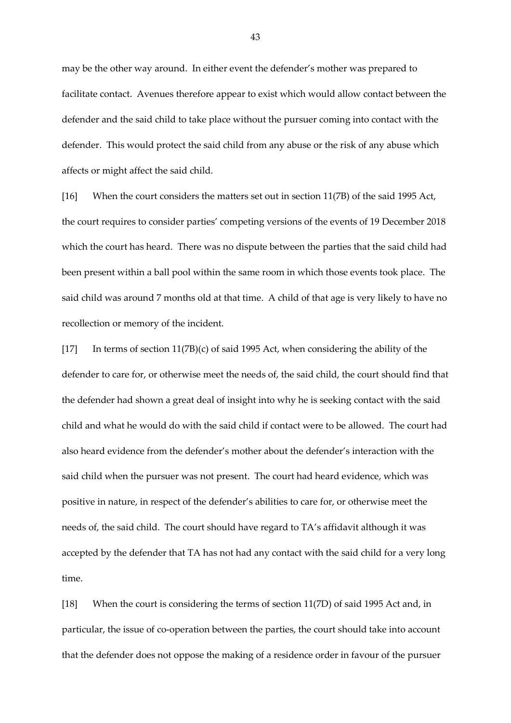may be the other way around. In either event the defender's mother was prepared to facilitate contact. Avenues therefore appear to exist which would allow contact between the defender and the said child to take place without the pursuer coming into contact with the defender. This would protect the said child from any abuse or the risk of any abuse which affects or might affect the said child.

[16] When the court considers the matters set out in section 11(7B) of the said 1995 Act, the court requires to consider parties' competing versions of the events of 19 December 2018 which the court has heard. There was no dispute between the parties that the said child had been present within a ball pool within the same room in which those events took place. The said child was around 7 months old at that time. A child of that age is very likely to have no recollection or memory of the incident.

[17] In terms of section 11(7B)(c) of said 1995 Act, when considering the ability of the defender to care for, or otherwise meet the needs of, the said child, the court should find that the defender had shown a great deal of insight into why he is seeking contact with the said child and what he would do with the said child if contact were to be allowed. The court had also heard evidence from the defender's mother about the defender's interaction with the said child when the pursuer was not present. The court had heard evidence, which was positive in nature, in respect of the defender's abilities to care for, or otherwise meet the needs of, the said child. The court should have regard to TA's affidavit although it was accepted by the defender that TA has not had any contact with the said child for a very long time.

[18] When the court is considering the terms of section 11(7D) of said 1995 Act and, in particular, the issue of co-operation between the parties, the court should take into account that the defender does not oppose the making of a residence order in favour of the pursuer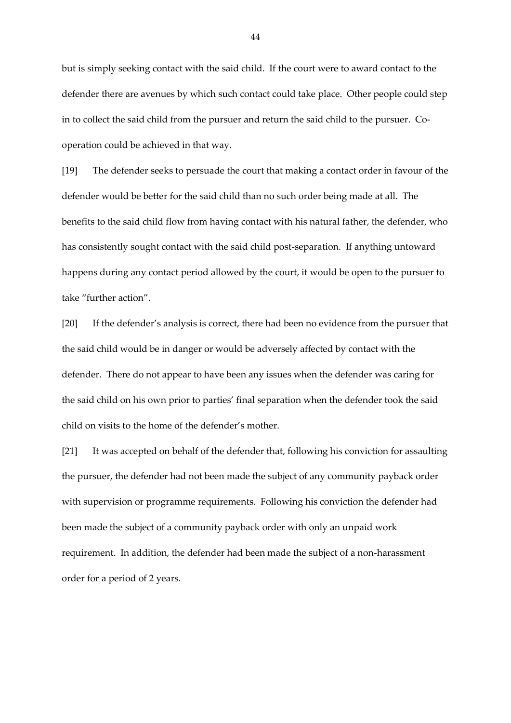but is simply seeking contact with the said child. If the court were to award contact to the defender there are avenues by which such contact could take place. Other people could step in to collect the said child from the pursuer and return the said child to the pursuer. Cooperation could be achieved in that way.

[19] The defender seeks to persuade the court that making a contact order in favour of the defender would be better for the said child than no such order being made at all. The benefits to the said child flow from having contact with his natural father, the defender, who has consistently sought contact with the said child post-separation. If anything untoward happens during any contact period allowed by the court, it would be open to the pursuer to take "further action".

[20] If the defender's analysis is correct, there had been no evidence from the pursuer that the said child would be in danger or would be adversely affected by contact with the defender. There do not appear to have been any issues when the defender was caring for the said child on his own prior to parties' final separation when the defender took the said child on visits to the home of the defender's mother.

[21] It was accepted on behalf of the defender that, following his conviction for assaulting the pursuer, the defender had not been made the subject of any community payback order with supervision or programme requirements. Following his conviction the defender had been made the subject of a community payback order with only an unpaid work requirement. In addition, the defender had been made the subject of a non-harassment order for a period of 2 years.